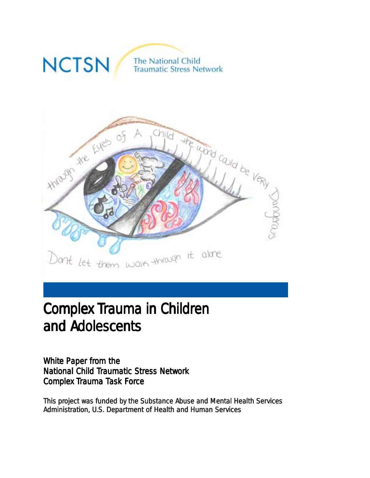

# Complex Trauma in Children and Adolescents

White Paper from the National Child Traumatic Stress Network Complex Trauma Task Force

This project was funded by the Substance Abuse and Mental Health Services Administration, U.S. Department of Health and Human Services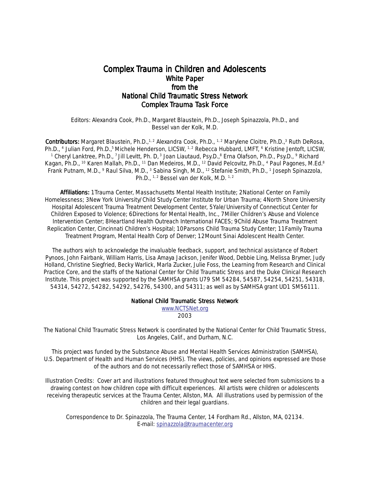#### Complex Trauma in Children and Adolescents White Paper from the National Child Traumatic Stress Network Complex Trauma Task Force

Editors: Alexandra Cook, Ph.D., Margaret Blaustein, Ph.D., Joseph Spinazzola, Ph.D., and Bessel van der Kolk, M.D.

Contributors: Margaret Blaustein, Ph.D.,<sup>1, 2</sup> Alexandra Cook, Ph.D., <sup>1, 2</sup> Marylene Cloitre, Ph.D.,<sup>3</sup> Ruth DeRosa, Ph.D., <sup>4</sup> Julian Ford, Ph.D.,<sup>5</sup> Michele Henderson, LICSW, <sup>1,2</sup> Rebecca Hubbard, LMFT, <sup>6</sup> Kristine Jentoft, LICSW, <sup>1</sup> Cheryl Lanktree, Ph.D., <sup>7</sup> Jill Levitt, Ph. D, <sup>3</sup> Joan Liautaud, Psy.D., <sup>8</sup> Erna Olafson, Ph.D., Psy.D., <sup>9</sup> Richard Kagan, Ph.D., <sup>10</sup> Karen Mallah, Ph.D., <sup>11</sup> Dan Medeiros, M.D., <sup>12</sup> David Pelcovitz, Ph.D., <sup>4</sup> Paul Pagones, M.Ed.<sup>8</sup> Frank Putnam, M.D., 9 Raul Silva, M.D., 3 Sabina Singh, M.D., 12 Stefanie Smith, Ph.D., 1 Joseph Spinazzola, Ph.D., <sup>1, 2</sup> Bessel van der Kolk, M.D. <sup>1, 2</sup>

Affiliations: 1Trauma Center, Massachusetts Mental Health Institute; 2National Center on Family Homelessness; 3New York University/Child Study Center Institute for Urban Trauma; 4North Shore University Hospital Adolescent Trauma Treatment Development Center, 5Yale/University of Connecticut Center for Children Exposed to Violence; 6Directions for Mental Health, Inc., 7Miller Children's Abuse and Violence Intervention Center; 8Heartland Health Outreach International FACES; 9Child Abuse Trauma Treatment Replication Center, Cincinnati Children's Hospital; 10Parsons Child Trauma Study Center; 11Family Trauma Treatment Program, Mental Health Corp of Denver; 12Mount Sinai Adolescent Health Center.

The authors wish to acknowledge the invaluable feedback, support, and technical assistance of Robert Pynoos, John Fairbank, William Harris, Lisa Amaya Jackson, Jenifer Wood, Debbie Ling, Melissa Brymer, Judy Holland, Christine Siegfried, Becky Warlick, Marla Zucker, Julie Foss, the Learning from Research and Clinical Practice Core, and the staffs of the National Center for Child Traumatic Stress and the Duke Clinical Research Institute. This project was supported by the SAMHSA grants U79 SM 54284, 54587, 54254, 54251, 54318, 54314, 54272, 54282, 54292, 54276, 54300, and 54311; as well as by SAMHSA grant UD1 SM56111.

#### National Child Traumatic Stress Network

www.NCTSNet.org 2003

The National Child Traumatic Stress Network is coordinated by the National Center for Child Traumatic Stress, Los Angeles, Calif., and Durham, N.C.

This project was funded by the Substance Abuse and Mental Health Services Administration (SAMHSA), U.S. Department of Health and Human Services (HHS). The views, policies, and opinions expressed are those of the authors and do not necessarily reflect those of SAMHSA or HHS.

Illustration Credits: Cover art and illustrations featured throughout text were selected from submissions to a drawing contest on how children cope with difficult experiences. All artists were children or adolescents receiving therapeutic services at the Trauma Center, Allston, MA. All illustrations used by permission of the children and their legal guardians.

Correspondence to Dr. Spinazzola, The Trauma Center, 14 Fordham Rd., Allston, MA, 02134. E-mail: spinazzola@traumacenter.org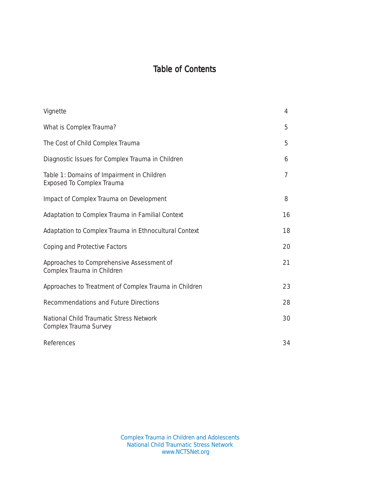## Table of Contents

| Vignette                                                                       | 4              |
|--------------------------------------------------------------------------------|----------------|
| What is Complex Trauma?                                                        | 5              |
| The Cost of Child Complex Trauma                                               | 5              |
| Diagnostic Issues for Complex Trauma in Children                               | 6              |
| Table 1: Domains of Impairment in Children<br><b>Exposed To Complex Trauma</b> | $\overline{7}$ |
| Impact of Complex Trauma on Development                                        | 8              |
| Adaptation to Complex Trauma in Familial Context                               | 16             |
| Adaptation to Complex Trauma in Ethnocultural Context                          | 18             |
| Coping and Protective Factors                                                  | 20             |
| Approaches to Comprehensive Assessment of<br>Complex Trauma in Children        | 21             |
| Approaches to Treatment of Complex Trauma in Children                          | 23             |
| Recommendations and Future Directions                                          | 28             |
| National Child Traumatic Stress Network<br>Complex Trauma Survey               | 30             |
| References                                                                     | 34             |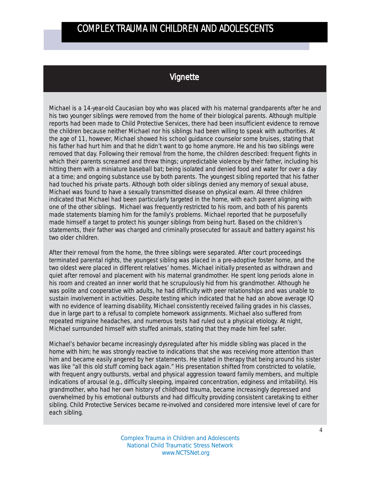### Vignette

Michael is a 14-year-old Caucasian boy who was placed with his maternal grandparents after he and his two younger siblings were removed from the home of their biological parents. Although multiple reports had been made to Child Protective Services, there had been insufficient evidence to remove the children because neither Michael nor his siblings had been willing to speak with authorities. At the age of 11, however, Michael showed his school guidance counselor some bruises, stating that his father had hurt him and that he didn't want to go home anymore. He and his two siblings were removed that day. Following their removal from the home, the children described: frequent fights in which their parents screamed and threw things; unpredictable violence by their father, including his hitting them with a miniature baseball bat; being isolated and denied food and water for over a day at a time; and ongoing substance use by both parents. The youngest sibling reported that his father had touched his private parts. Although both older siblings denied any memory of sexual abuse, Michael was found to have a sexually transmitted disease on physical exam. All three children indicated that Michael had been particularly targeted in the home, with each parent aligning with one of the other siblings. Michael was frequently restricted to his room, and both of his parents made statements blaming him for the family's problems. Michael reported that he purposefully made himself a target to protect his younger siblings from being hurt. Based on the children's statements, their father was charged and criminally prosecuted for assault and battery against his two older children.

After their removal from the home, the three siblings were separated. After court proceedings terminated parental rights, the youngest sibling was placed in a pre-adoptive foster home, and the two oldest were placed in different relatives' homes. Michael initially presented as withdrawn and quiet after removal and placement with his maternal grandmother. He spent long periods alone in his room and created an inner world that he scrupulously hid from his grandmother. Although he was polite and cooperative with adults, he had difficulty with peer relationships and was unable to sustain involvement in activities. Despite testing which indicated that he had an above average IQ with no evidence of learning disability, Michael consistently received failing grades in his classes, due in large part to a refusal to complete homework assignments. Michael also suffered from repeated migraine headaches, and numerous tests had ruled out a physical etiology. At night, Michael surrounded himself with stuffed animals, stating that they made him feel safer.

Michael's behavior became increasingly dysregulated after his middle sibling was placed in the home with him; he was strongly reactive to indications that she was receiving more attention than him and became easily angered by her statements. He stated in therapy that being around his sister was like "all this old stuff coming back again." His presentation shifted from constricted to volatile, with frequent angry outbursts, verbal and physical aggression toward family members, and multiple indications of arousal (e.g., difficulty sleeping, impaired concentration, edginess and irritability). His grandmother, who had her own history of childhood trauma, became increasingly depressed and overwhelmed by his emotional outbursts and had difficulty providing consistent caretaking to either sibling. Child Protective Services became re-involved and considered more intensive level of care for each sibling.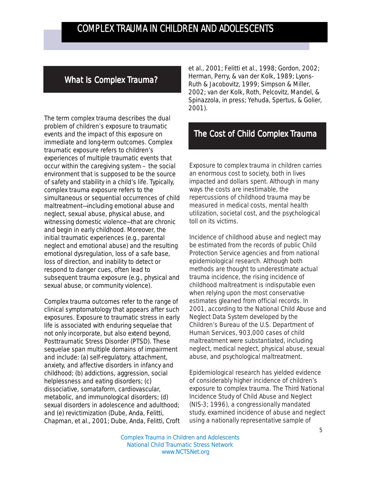### What Is Complex Trauma?

The term complex trauma describes the dual problem of children's exposure to traumatic events and the impact of this exposure on immediate and long-term outcomes. Complex traumatic exposure refers to children's experiences of multiple traumatic events that occur within the caregiving system – the social environment that is supposed to be the source of safety and stability in a child's life. Typically, complex trauma exposure refers to the simultaneous or sequential occurrences of child maltreatment—including emotional abuse and neglect, sexual abuse, physical abuse, and witnessing domestic violence—that are chronic and begin in early childhood. Moreover, the initial traumatic experiences (e.g., parental neglect and emotional abuse) and the resulting emotional dysregulation, loss of a safe base, loss of direction, and inability to detect or respond to danger cues, often lead to subsequent trauma exposure (e.g., physical and sexual abuse, or community violence).

Complex trauma outcomes refer to the range of clinical symptomatology that appears after such exposures. Exposure to traumatic stress in early life is associated with enduring sequelae that not only incorporate, but also extend beyond, Posttraumatic Stress Disorder (PTSD). These sequelae span multiple domains of impairment and include: (a) self-regulatory, attachment, anxiety, and affective disorders in infancy and childhood; (b) addictions, aggression, social helplessness and eating disorders; (c) dissociative, somataform, cardiovascular, metabolic, and immunological disorders; (d) sexual disorders in adolescence and adulthood; and (e) revictimization (Dube, Anda, Felitti, Chapman, et al., 2001; Dube, Anda, Felitti, Croft et al., 2001; Felitti et al., 1998; Gordon, 2002; Herman, Perry, & van der Kolk, 1989; Lyons-Ruth & Jacobovitz, 1999; Simpson & Miller, 2002; van der Kolk, Roth, Pelcovitz, Mandel, & Spinazzola, in press; Yehuda, Spertus, & Golier, 2001).

### The Cost of Child Complex Trauma

Exposure to complex trauma in children carries an enormous cost to society, both in lives impacted and dollars spent. Although in many ways the costs are inestimable, the repercussions of childhood trauma may be measured in medical costs, mental health utilization, societal cost, and the psychological toll on its victims.

Incidence of childhood abuse and neglect may be estimated from the records of public Child Protection Service agencies and from national epidemiological research. Although both methods are thought to underestimate actual trauma incidence, the rising incidence of childhood maltreatment is indisputable even when relying upon the most conservative estimates gleaned from official records. In 2001, according to the National Child Abuse and Neglect Data System developed by the Children's Bureau of the U.S. Department of Human Services, 903,000 cases of child maltreatment were substantiated, including neglect, medical neglect, physical abuse, sexual abuse, and psychological maltreatment.

Epidemiological research has yielded evidence of considerably higher incidence of children's exposure to complex trauma. The Third National Incidence Study of Child Abuse and Neglect (NIS-3; 1996), a congressionally mandated study, examined incidence of abuse and neglect using a nationally representative sample of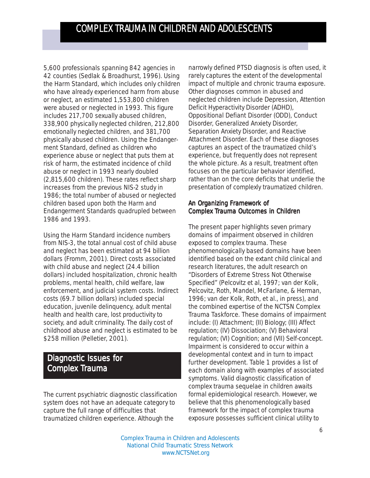5,600 professionals spanning 842 agencies in 42 counties (Sedlak & Broadhurst, 1996). Using the Harm Standard, which includes only children who have already experienced harm from abuse or neglect, an estimated 1,553,800 children were abused or neglected in 1993. This figure includes 217,700 sexually abused children, 338,900 physically neglected children, 212,800 emotionally neglected children, and 381,700 physically abused children. Using the Endangerment Standard, defined as children who experience abuse or neglect that puts them at risk of harm, the estimated incidence of child abuse or neglect in 1993 nearly doubled (2,815,600 children). These rates reflect sharp increases from the previous NIS-2 study in 1986; the total number of abused or neglected children based upon both the Harm and Endangerment Standards quadrupled between 1986 and 1993.

Using the Harm Standard incidence numbers from NIS-3, the total annual cost of child abuse and neglect has been estimated at 94 billion dollars (Fromm, 2001). Direct costs associated with child abuse and neglect (24.4 billion dollars) included hospitalization, chronic health problems, mental health, child welfare, law enforcement, and judicial system costs. Indirect costs (69.7 billion dollars) included special education, juvenile delinquency, adult mental health and health care, lost productivity to society, and adult criminality. The daily cost of childhood abuse and neglect is estimated to be \$258 million (Pelletier, 2001).

### Diagnostic Issues for Complex Trauma

The current psychiatric diagnostic classification system does not have an adequate category to capture the full range of difficulties that traumatized children experience. Although the

narrowly defined PTSD diagnosis is often used, it rarely captures the extent of the developmental impact of multiple and chronic trauma exposure. Other diagnoses common in abused and neglected children include Depression, Attention Deficit Hyperactivity Disorder (ADHD), Oppositional Defiant Disorder (ODD), Conduct Disorder, Generalized Anxiety Disorder, Separation Anxiety Disorder, and Reactive Attachment Disorder. Each of these diagnoses captures an aspect of the traumatized child's experience, but frequently does not represent the whole picture. As a result, treatment often focuses on the particular behavior identified, rather than on the core deficits that underlie the presentation of complexly traumatized children.

#### An Organizing Framework of Complex Trauma Outcomes in Children

The present paper highlights seven primary domains of impairment observed in children exposed to complex trauma. These phenomenologically based domains have been identified based on the extant child clinical and research literatures, the adult research on "Disorders of Extreme Stress Not Otherwise Specified" (Pelcovitz et al, 1997; van der Kolk, Pelcovitz, Roth, Mandel, McFarlane, & Herman, 1996; van der Kolk, Roth, et al., in press), and the combined expertise of the NCTSN Complex Trauma Taskforce. These domains of impairment include: (I) Attachment; (II) Biology; (III) Affect regulation; (IV) Dissociation; (V) Behavioral regulation; (VI) Cognition; and (VII) Self-concept. Impairment is considered to occur within a developmental context and in turn to impact further development. Table 1 provides a list of each domain along with examples of associated symptoms. Valid diagnostic classification of complex trauma sequelae in children awaits formal epidemiological research. However, we believe that this phenomenologically based framework for the impact of complex trauma exposure possesses sufficient clinical utility to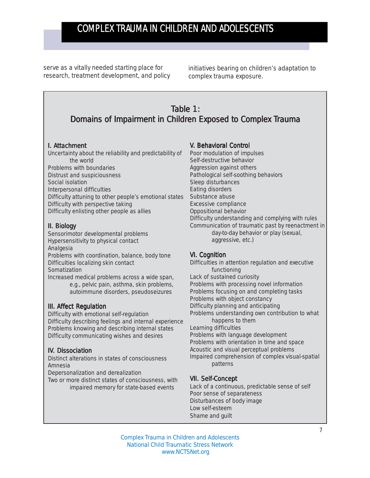serve as a vitally needed starting place for research, treatment development, and policy

initiatives bearing on children's adaptation to complex trauma exposure.

### Table  $1$ : Domains of Impairment in Children Exposed to Complex Trauma

#### I. Attachment

Uncertainty about the reliability and predictability of the world Problems with boundaries Distrust and suspiciousness Social isolation Interpersonal difficulties Difficulty attuning to other people's emotional states Difficulty with perspective taking Difficulty enlisting other people as allies

#### II. Biology

Sensorimotor developmental problems Hypersensitivity to physical contact Analgesia Problems with coordination, balance, body tone Difficulties localizing skin contact Somatization Increased medical problems across a wide span,

e.g., pelvic pain, asthma, skin problems, autoimmune disorders, pseudoseizures

#### III. Affect Regulation

Difficulty with emotional self-regulation Difficulty describing feelings and internal experience Problems knowing and describing internal states Difficulty communicating wishes and desires

#### IV. Dissociation

Distinct alterations in states of consciousness Amnesia

Depersonalization and derealization

Two or more distinct states of consciousness, with impaired memory for state-based events

#### V. Behavioral Control

Poor modulation of impulses Self-destructive behavior Aggression against others Pathological self-soothing behaviors Sleep disturbances Eating disorders Substance abuse Excessive compliance Oppositional behavior Difficulty understanding and complying with rules Communication of traumatic past by reenactment in day-to-day behavior or play (sexual, aggressive, etc.)

#### VI. Cognition

Difficulties in attention regulation and executive functioning Lack of sustained curiosity Problems with processing novel information Problems focusing on and completing tasks Problems with object constancy Difficulty planning and anticipating Problems understanding own contribution to what happens to them Learning difficulties Problems with language development Problems with orientation in time and space Acoustic and visual perceptual problems Impaired comprehension of complex visual-spatial patterns

#### VII. Self-Concept

Lack of a continuous, predictable sense of self Poor sense of separateness Disturbances of body image Low self-esteem Shame and guilt

Complex Trauma in Children and Adolescents National Child Traumatic Stress Network www.NCTSNet.org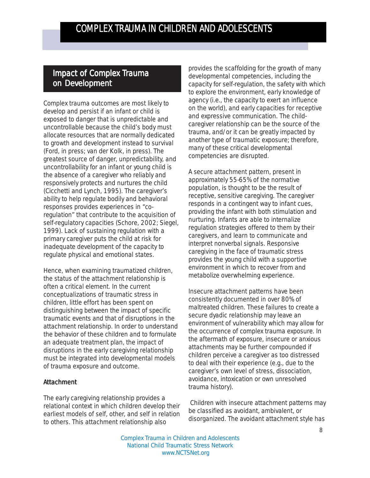### Impact of Complex Trauma on Development

Complex trauma outcomes are most likely to develop and persist if an infant or child is exposed to danger that is unpredictable and uncontrollable because the child's body must allocate resources that are normally dedicated to growth and development instead to survival (Ford, in press; van der Kolk, in press). The greatest source of danger, unpredictability, and uncontrollability for an infant or young child is the absence of a caregiver who reliably and responsively protects and nurtures the child (Cicchetti and Lynch, 1995). The caregiver's ability to help regulate bodily and behavioral responses provides experiences in "coregulation" that contribute to the acquisition of self-regulatory capacities (Schore, 2002; Siegel, 1999). Lack of sustaining regulation with a primary caregiver puts the child at risk for inadequate development of the capacity to regulate physical and emotional states.

Hence, when examining traumatized children, the status of the attachment relationship is often a critical element. In the current conceptualizations of traumatic stress in children, little effort has been spent on distinguishing between the impact of specific traumatic events and that of disruptions in the attachment relationship. In order to understand the behavior of these children and to formulate an adequate treatment plan, the impact of disruptions in the early caregiving relationship must be integrated into developmental models of trauma exposure and outcome.

#### Attachment

The early caregiving relationship provides a relational context in which children develop their earliest models of self, other, and self in relation to others. This attachment relationship also

provides the scaffolding for the growth of many developmental competencies, including the capacity for self-regulation, the safety with which to explore the environment, early knowledge of agency (i.e., the capacity to exert an influence on the world), and early capacities for receptive and expressive communication. The childcaregiver relationship can be the *source* of the trauma, and/or it can be greatly impacted by another type of traumatic exposure; therefore, many of these critical developmental competencies are disrupted.

A *secure* attachment pattern, present in approximately 55-65% of the normative population, is thought to be the result of receptive, sensitive caregiving. The caregiver responds in a contingent way to infant cues, providing the infant with both stimulation and nurturing. Infants are able to internalize regulation strategies offered to them by their caregivers, and learn to communicate and interpret nonverbal signals. Responsive caregiving in the face of traumatic stress provides the young child with a supportive environment in which to recover from and metabolize overwhelming experience.

*Insecure* attachment patterns have been consistently documented in over 80% of maltreated children. These failures to create a secure dyadic relationship may leave an environment of vulnerability which may allow for the occurrence of complex trauma exposure. In the aftermath of exposure, insecure or anxious attachments may be further compounded if children perceive a caregiver as too distressed to deal with their experience (e.g., due to the caregiver's own level of stress, dissociation, avoidance, intoxication or own unresolved trauma history).

 Children with insecure attachment patterns may be classified as *avoidant*, *ambivalent,* or *disorganized*. The *avoidant* attachment style has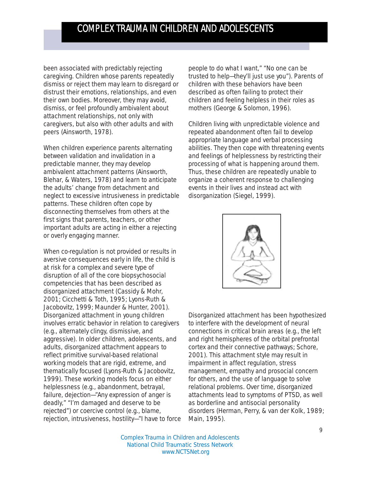been associated with predictably rejecting caregiving. Children whose parents repeatedly dismiss or reject them may learn to disregard or distrust their emotions, relationships, and even their own bodies. Moreover, they may avoid, dismiss, or feel profoundly ambivalent about attachment relationships, not only with caregivers, but also with other adults and with peers (Ainsworth, 1978).

When children experience parents alternating between validation and invalidation in a predictable manner, they may develop *ambivalent* attachment patterns (Ainsworth, Blehar, & Waters, 1978) and learn to anticipate the adults' change from detachment and neglect to excessive intrusiveness in predictable patterns. These children often cope by disconnecting themselves from others at the first signs that parents, teachers, or other important adults are acting in either a rejecting or overly engaging manner.

When co-regulation is not provided or results in aversive consequences early in life, the child is at risk for a complex and severe type of disruption of all of the core biopsychosocial competencies that has been described as *disorganized attachment* (Cassidy & Mohr, 2001; Cicchetti & Toth, 1995; Lyons-Ruth & Jacobovitz, 1999; Maunder & Hunter, 2001). Disorganized attachment in young children involves erratic behavior in relation to caregivers (e.g., alternately clingy, dismissive, and aggressive). In older children, adolescents, and adults, disorganized attachment appears to reflect primitive survival-based relational working models that are rigid, extreme, and thematically focused (Lyons-Ruth & Jacobovitz, 1999). These working models focus on either helplessness (e.g., abandonment, betrayal, failure, dejection—"Any expression of anger is deadly," "I'm damaged and deserve to be rejected") or coercive control (e.g., blame, rejection, intrusiveness, hostility—"I have to force people to do what I want," "No one can be trusted to help—they'll just use you"). Parents of children with these behaviors have been described as often failing to protect their children and feeling helpless in their roles as mothers (George & Solomon, 1996).

Children living with unpredictable violence and repeated abandonment often fail to develop appropriate language and verbal processing abilities. They then cope with threatening events and feelings of helplessness by restricting their processing of what is happening around them. Thus, these children are repeatedly unable to organize a coherent response to challenging events in their lives and instead act with disorganization (Siegel, 1999).



Disorganized attachment has been hypothesized to interfere with the development of neural connections in critical brain areas (e.g., the left and right hemispheres of the orbital prefrontal cortex and their connective pathways; Schore, 2001). This attachment style may result in impairment in affect regulation, stress management, empathy and prosocial concern for others, and the use of language to solve relational problems. Over time, disorganized attachments lead to symptoms of PTSD, as well as borderline and antisocial personality disorders (Herman, Perry, & van der Kolk, 1989; Main, 1995).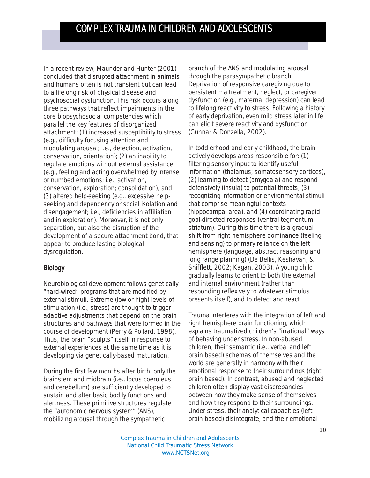In a recent review, Maunder and Hunter (2001) concluded that disrupted attachment in animals and humans often is not transient but can lead to a lifelong risk of physical disease and psychosocial dysfunction. This risk occurs along three pathways that reflect impairments in the core biopsychosocial competencies which parallel the key features of disorganized attachment: (1) increased susceptibility to stress (e.g., difficulty focusing attention and modulating arousal; i.e., detection, activation, conservation, orientation); (2) an inability to regulate emotions without external assistance (e.g., feeling and acting overwhelmed by intense or numbed emotions; i.e., activation, conservation, exploration; consolidation), and (3) altered help-seeking (e.g., excessive helpseeking and dependency or social isolation and disengagement; i.e., deficiencies in affiliation and in exploration). Moreover, it is not only separation, but also the disruption of the development of a secure attachment bond, that appear to produce lasting biological dysregulation.

#### Biology

Neurobiological development follows genetically "hard-wired" programs that are modified by external stimuli. Extreme (low or high) levels of stimulation (i.e., stress) are thought to trigger adaptive adjustments that depend on the brain structures and pathways that were formed in the course of development (Perry & Pollard, 1998). Thus, the brain "sculpts" itself in response to external experiences at the same time as it is developing via genetically-based maturation.

During the first few months after birth, only the brainstem and midbrain (i.e., locus coeruleus and cerebellum) are sufficiently developed to sustain and alter basic bodily functions and alertness. These primitive structures regulate the "autonomic nervous system" (ANS), mobilizing arousal through the sympathetic

branch of the ANS and modulating arousal through the parasympathetic branch. Deprivation of responsive caregiving due to persistent maltreatment, neglect, or caregiver dysfunction (e.g., maternal depression) can lead to lifelong reactivity to stress. Following a history of early deprivation, even *mild* stress later in life can elicit severe reactivity and dysfunction (Gunnar & Donzella, 2002).

In toddlerhood and early childhood, the brain actively develops areas responsible for: (1) filtering sensory input to identify useful information (thalamus; somatosensory cortices), (2) learning to detect (amygdala) and respond defensively (insula) to potential threats, (3) recognizing information or environmental stimuli that comprise meaningful contexts (hippocampal area), and (4) coordinating rapid goal-directed responses (ventral tegmentum; striatum). During this time there is a gradual shift from right hemisphere dominance (feeling and sensing) to primary reliance on the left hemisphere (language, abstract reasoning and long range planning) (De Bellis, Keshavan, & Shifflett, 2002; Kagan, 2003). A young child gradually learns to orient to both the external and internal environment (rather than responding reflexively to whatever stimulus presents itself), and to detect and react.

Trauma interferes with the integration of left and right hemisphere brain functioning, which explains traumatized children's "irrational" ways of behaving under stress. In non-abused children, their semantic (i.e., verbal and left brain based) schemas of themselves and the world are generally in harmony with their emotional response to their surroundings (right brain based). In contrast, abused and neglected children often display vast discrepancies between how they make sense of themselves and how they respond to their surroundings. Under stress, their analytical capacities (left brain based) disintegrate, and their emotional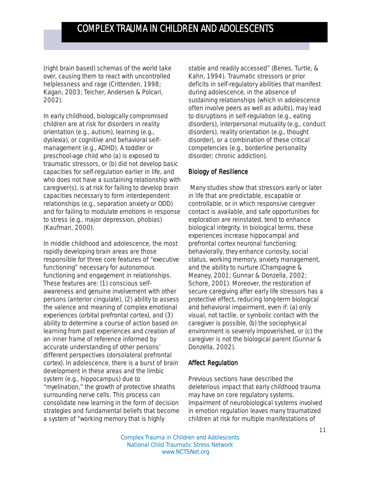(right brain based) schemas of the world take over, causing them to react with uncontrolled helplessness and rage (Crittenden, 1998; Kagan, 2003; Teicher, Andersen & Polcari, 2002).

In early childhood, biologically compromised children are at risk for disorders in reality orientation (e.g., autism), learning (e.g., dyslexia), or cognitive and behavioral selfmanagement (e.g., ADHD). A toddler or preschool-age child who (a) is exposed to traumatic stressors, or (b) did not develop basic capacities for self-regulation earlier in life, and who does not have a sustaining relationship with caregiver(s), is at risk for failing to develop brain capacities necessary to form interdependent relationships (e.g., separation anxiety or ODD) and for failing to modulate emotions in response to stress (e.g., major depression, phobias) (Kaufman, 2000).

In middle childhood and adolescence, the most rapidly developing brain areas are those responsible for three core features of "executive functioning" necessary for autonomous functioning and engagement in relationships. These features are: (1) conscious selfawareness and genuine involvement with other persons (anterior cingulate), (2) ability to assess the valence and meaning of complex emotional experiences (orbital prefrontal cortex), and (3) ability to determine a course of action based on learning from past experiences and creation of an inner frame of reference informed by accurate understanding of other persons' different perspectives (dorsolateral prefrontal cortex). In adolescence, there is a burst of brain development in these areas and the limbic system (e.g., hippocampus) due to "myelination," the growth of protective sheaths surrounding nerve cells. This process can consolidate new learning in the form of decision strategies and fundamental beliefs that become a system of "working memory that is highly

stable and readily accessed" (Benes, Turtle, & Kahn, 1994). Traumatic stressors or prior deficits in self-regulatory abilities that manifest during adolescence, in the absence of sustaining relationships (which in adolescence often involve peers as well as adults), may lead to disruptions in self-regulation (e.g., eating disorders), interpersonal mutuality (e.g., conduct disorders), reality orientation (e.g., thought disorder), or a combination of these critical competencies (e.g., borderline personality disorder; chronic addiction).

#### Biology of Resilience

 Many studies show that stressors early or later in life that are predictable, escapable or controllable, or in which responsive caregiver contact is available, and safe opportunities for exploration are reinstated, tend to *enhance biological integrity.* In biological terms, these experiences increase hippocampal and prefrontal cortex neuronal functioning; *behaviorally*, they enhance curiosity, social status, working memory, anxiety management, and the ability to nurture (Champagne & Meaney, 2001; Gunnar & Donzella, 2002; Schore, 2001). Moreover, the restoration of secure caregiving after early life stressors has a protective effect, reducing long-term biological and behavioral impairment, even if: (a) only visual, not tactile, or symbolic contact with the caregiver is possible, (b) the sociophysical environment is severely impoverished, or (c) the caregiver is not the biological parent (Gunnar & Donzella, 2002).

#### Affect Regulation

Previous sections have described the deleterious impact that early childhood trauma may have on core regulatory systems. Impairment of neurobiological systems involved in emotion regulation leaves many traumatized children at risk for multiple manifestations of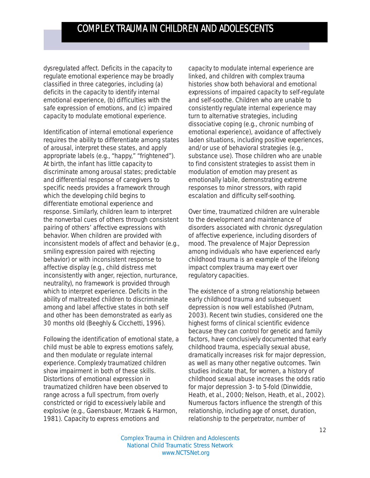dysregulated affect. Deficits in the capacity to regulate emotional experience may be broadly classified in three categories, including (a) deficits in the capacity to *identify* internal emotional experience, (b) difficulties with the safe *expression* of emotions, and (c) impaired capacity to *modulate* emotional experience.

Identification of internal emotional experience requires the ability to differentiate among states of arousal, interpret these states, and apply appropriate labels (e.g., "happy," "frightened"). At birth, the infant has little capacity to discriminate among arousal states; predictable and differential response of caregivers to specific needs provides a framework through which the developing child begins to differentiate emotional experience and response. Similarly, children learn to interpret the nonverbal cues of others through consistent pairing of others' affective expressions with behavior. When children are provided with inconsistent models of affect and behavior (e.g., smiling expression paired with rejecting behavior) or with inconsistent response to affective display (e.g., child distress met inconsistently with anger, rejection, nurturance, neutrality), no framework is provided through which to interpret experience. Deficits in the ability of maltreated children to discriminate among and label affective states in both self and other has been demonstrated as early as 30 months old (Beeghly & Cicchetti, 1996).

Following the identification of emotional state, a child must be able to *express* emotions safely, and then *modulate* or *regulate* internal experience. Complexly traumatized children show impairment in both of these skills. Distortions of emotional expression in traumatized children have been observed to range across a full spectrum, from overly constricted or rigid to excessively labile and explosive (e.g., Gaensbauer, Mrzaek & Harmon, 1981). Capacity to express emotions and

capacity to modulate internal experience are linked, and children with complex trauma histories show both behavioral and emotional expressions of impaired capacity to self-regulate and self-soothe. Children who are unable to consistently regulate internal experience may turn to alternative strategies, including dissociative coping (e.g., chronic numbing of emotional experience), avoidance of affectively laden situations, including positive experiences, and/or use of behavioral strategies (e.g., substance use). Those children who are unable to find consistent strategies to assist them in modulation of emotion may present as emotionally labile, demonstrating extreme responses to minor stressors, with rapid escalation and difficulty self-soothing.

Over time, traumatized children are vulnerable to the development and maintenance of disorders associated with chronic dysregulation of affective experience, including disorders of mood. The prevalence of Major Depression among individuals who have experienced early childhood trauma is an example of the lifelong impact complex trauma may exert over regulatory capacities.

The existence of a strong relationship between early childhood trauma and subsequent depression is now well established (Putnam, 2003). Recent twin studies, considered one the highest forms of clinical scientific evidence because they can control for genetic and family factors, have conclusively documented that early childhood trauma, especially sexual abuse, dramatically increases risk for major depression, as well as many other negative outcomes. Twin studies indicate that, for women, a history of childhood sexual abuse increases the odds ratio for major depression 3- to 5-fold (Dinwiddie, Heath, et al., 2000; Nelson, Heath, et al., 2002). Numerous factors influence the strength of this relationship, including age of onset, duration, relationship to the perpetrator, number of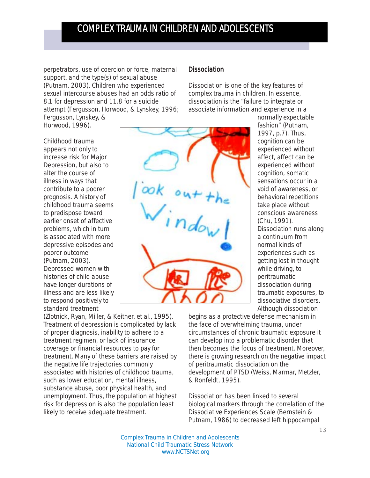perpetrators, use of coercion or force, maternal support, and the type(s) of sexual abuse (Putnam, 2003). Children who experienced sexual intercourse abuses had an odds ratio of 8.1 for depression and 11.8 for a suicide attempt (Fergusson, Horwood, & Lynskey, 1996;

Fergusson, Lynskey, & Horwood, 1996). Childhood trauma

appears not only to increase risk for Major Depression, but also to alter the course of illness in ways that contribute to a poorer prognosis. A history of childhood trauma seems to predispose toward earlier onset of affective problems, which in turn is associated with more depressive episodes and poorer outcome (Putnam, 2003). Depressed women with histories of child abuse have longer durations of illness and are less likely to respond positively to standard treatment

(Zlotnick, Ryan, Miller, & Keitner, et al., 1995). Treatment of depression is complicated by lack of proper diagnosis, inability to adhere to a treatment regimen, or lack of insurance coverage or financial resources to pay for treatment. Many of these barriers are raised by the negative life trajectories commonly associated with histories of childhood trauma, such as lower education, mental illness, substance abuse, poor physical health, and unemployment. Thus, the population at highest risk for depression is also the population least likely to receive adequate treatment.

#### **Dissociation**

Dissociation is one of the key features of complex trauma in children. In essence, dissociation is the "failure to integrate or associate information and experience in a



normally expectable fashion" (Putnam, 1997, p.7). Thus, cognition can be experienced without affect, affect can be experienced without cognition, somatic sensations occur in a void of awareness, or behavioral repetitions take place without conscious awareness (Chu, 1991). Dissociation runs along a continuum from normal kinds of experiences such as getting lost in thought while driving, to peritraumatic dissociation during traumatic exposures, to dissociative disorders. Although dissociation

begins as a protective defense mechanism in the face of overwhelming trauma, under circumstances of chronic traumatic exposure it can develop into a problematic disorder that then becomes the focus of treatment. Moreover, there is growing research on the negative impact of peritraumatic dissociation on the development of PTSD (Weiss, Marmar, Metzler, & Ronfeldt, 1995).

Dissociation has been linked to several biological markers through the correlation of the Dissociative Experiences Scale (Bernstein & Putnam, 1986) to decreased left hippocampal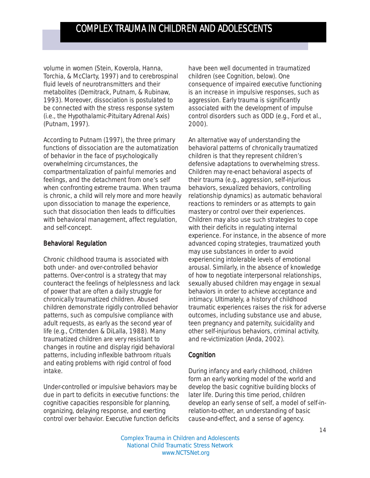volume in women (Stein, Koverola, Hanna, Torchia, & McClarty, 1997) and to cerebrospinal fluid levels of neurotransmitters and their metabolites (Demitrack, Putnam, & Rubinaw, 1993). Moreover, dissociation is postulated to be connected with the stress response system (i.e., the Hypothalamic-Pituitary Adrenal Axis) (Putnam, 1997).

According to Putnam (1997), the three primary functions of dissociation are the automatization of behavior in the face of psychologically overwhelming circumstances, the compartmentalization of painful memories and feelings, and the detachment from one's self when confronting extreme trauma. When trauma is chronic, a child will rely more and more heavily upon dissociation to manage the experience, such that dissociation then leads to difficulties with behavioral management, affect regulation, and self-concept.

#### Behavioral Regulation

Chronic childhood trauma is associated with both under- and over-controlled behavior patterns. Over-control is a strategy that may counteract the feelings of helplessness and lack of power that are often a daily struggle for chronically traumatized children. Abused children demonstrate rigidly controlled behavior patterns, such as compulsive compliance with adult requests, as early as the second year of life (e.g., Crittenden & DiLalla, 1988). Many traumatized children are very resistant to changes in routine and display rigid behavioral patterns, including inflexible bathroom rituals and eating problems with rigid control of food intake.

Under-controlled or impulsive behaviors may be due in part to deficits in executive functions: the cognitive capacities responsible for planning, organizing, delaying response, and exerting control over behavior. Executive function deficits

have been well documented in traumatized children (see Cognition, below). One consequence of impaired executive functioning is an increase in impulsive responses, such as aggression. Early trauma is significantly associated with the development of impulse control disorders such as ODD (e.g., Ford et al., 2000).

An alternative way of understanding the behavioral patterns of chronically traumatized children is that they represent children's defensive adaptations to overwhelming stress. Children may re-enact behavioral aspects of their trauma (e.g., aggression, self-injurious behaviors, sexualized behaviors, controlling relationship dynamics) as automatic behavioral reactions to reminders or as attempts to gain mastery or control over their experiences. Children may also use such strategies to cope with their deficits in regulating internal experience. For instance, in the absence of more advanced coping strategies, traumatized youth may use substances in order to avoid experiencing intolerable levels of emotional arousal. Similarly, in the absence of knowledge of how to negotiate interpersonal relationships, sexually abused children may engage in sexual behaviors in order to achieve acceptance and intimacy. Ultimately, a history of childhood traumatic experiences raises the risk for adverse outcomes, including substance use and abuse, teen pregnancy and paternity, suicidality and other self-injurious behaviors, criminal activity, and re-victimization (Anda, 2002).

#### **Cognition**

During infancy and early childhood, children form an early working model of the world and develop the basic cognitive building blocks of later life. During this time period, children develop an early sense of self, a model of self-inrelation-to-other, an understanding of basic cause-and-effect, and a sense of agency.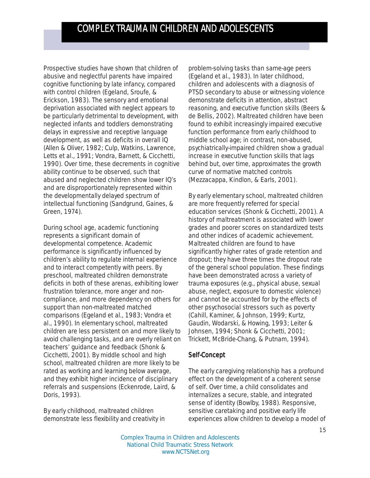Prospective studies have shown that children of abusive and neglectful parents have impaired cognitive functioning by late infancy, compared with control children (Egeland, Sroufe, & Erickson, 1983). The sensory and emotional deprivation associated with neglect appears to be particularly detrimental to development, with neglected infants and toddlers demonstrating delays in expressive and receptive language development, as well as deficits in overall IQ (Allen & Oliver, 1982; Culp, Watkins, Lawrence, Letts et al., 1991; Vondra, Barnett, & Cicchetti, 1990). Over time, these decrements in cognitive ability continue to be observed, such that abused and neglected children show lower IQ's and are disproportionately represented within the developmentally delayed spectrum of intellectual functioning (Sandgrund, Gaines, & Green, 1974).

During school age, academic functioning represents a significant domain of developmental competence. Academic performance is significantly influenced by children's ability to regulate internal experience and to interact competently with peers. By preschool, maltreated children demonstrate deficits in both of these arenas, exhibiting lower frustration tolerance, more anger and noncompliance, and more dependency on others for support than non-maltreated matched comparisons (Egeland et al., 1983; Vondra et al., 1990). In elementary school, maltreated children are less persistent on and more likely to avoid challenging tasks, and are overly reliant on teachers' guidance and feedback (Shonk & Cicchetti, 2001). By middle school and high school, maltreated children are more likely to be rated as working and learning below average, and they exhibit higher incidence of disciplinary referrals and suspensions (Eckenrode, Laird, & Doris, 1993).

By early childhood, maltreated children demonstrate less flexibility and creativity in problem-solving tasks than same-age peers (Egeland et al., 1983). In later childhood, children and adolescents with a diagnosis of PTSD secondary to abuse or witnessing violence demonstrate deficits in attention, abstract reasoning, and executive function skills (Beers & de Bellis, 2002). Maltreated children have been found to exhibit increasingly impaired executive function performance from early childhood to middle school age; in contrast, non-abused, psychiatrically-impaired children show a gradual increase in executive function skills that lags behind but, over time, approximates the growth curve of normative matched controls (Mezzacappa, Kindlon, & Earls, 2001).

By early elementary school, maltreated children are more frequently referred for special education services (Shonk & Cicchetti, 2001). A history of maltreatment is associated with lower grades and poorer scores on standardized tests and other indices of academic achievement. Maltreated children are found to have significantly higher rates of grade retention and dropout; they have three times the dropout rate of the general school population. These findings have been demonstrated across a variety of trauma exposures (e.g., physical abuse, sexual abuse, neglect, exposure to domestic violence) and cannot be accounted for by the effects of other psychosocial stressors such as poverty (Cahill, Kaminer, & Johnson, 1999; Kurtz, Gaudin, Wodarski, & Howing, 1993; Leiter & Johnsen, 1994; Shonk & Cicchetti, 2001; Trickett, McBride-Chang, & Putnam, 1994).

#### Self-Concept

The early caregiving relationship has a profound effect on the development of a coherent sense of self. Over time, a child consolidates and internalizes a secure, stable, and integrated sense of identity (Bowlby, 1988). Responsive, sensitive caretaking and positive early life experiences allow children to develop a model of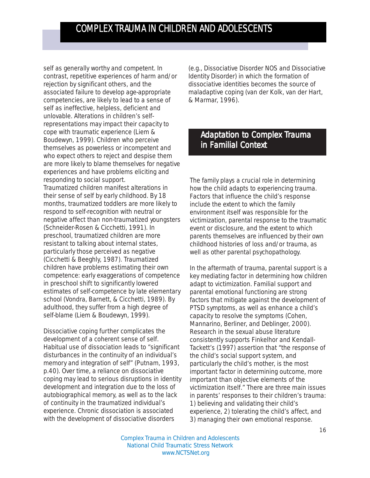self as generally worthy and competent. In contrast, repetitive experiences of harm and/or rejection by significant others, and the associated failure to develop age-appropriate competencies, are likely to lead to a sense of self as ineffective, helpless, deficient and unlovable. Alterations in children's selfrepresentations may impact their capacity to cope with traumatic experience (Liem & Boudewyn, 1999). Children who perceive themselves as powerless or incompetent and who expect others to reject and despise them are more likely to blame themselves for negative experiences and have problems eliciting and responding to social support.

Traumatized children manifest alterations in their sense of self by early childhood. By 18 months, traumatized toddlers are more likely to respond to self-recognition with neutral or negative affect than non-traumatized youngsters (Schneider-Rosen & Cicchetti, 1991). In preschool, traumatized children are more resistant to talking about internal states, particularly those perceived as negative (Cicchetti & Beeghly, 1987). Traumatized children have problems estimating their own competence: early exaggerations of competence in preschool shift to significantly lowered estimates of self-competence by late elementary school (Vondra, Barnett, & Cicchetti, 1989). By adulthood, they suffer from a high degree of self-blame (Liem & Boudewyn, 1999).

Dissociative coping further complicates the development of a coherent sense of self. Habitual use of dissociation leads to "significant disturbances in the continuity of an individual's memory and integration of self" (Putnam, 1993, p.40). Over time, a reliance on dissociative coping may lead to serious disruptions in identity development and integration due to the loss of autobiographical memory, as well as to the lack of continuity in the traumatized individual's experience. Chronic dissociation is associated with the development of dissociative disorders

(e.g., Dissociative Disorder NOS and Dissociative Identity Disorder) in which the formation of dissociative identities becomes the source of maladaptive coping (van der Kolk, van der Hart, & Marmar, 1996).

### Adaptation to Complex Trauma in Familial Context

The family plays a crucial role in determining how the child adapts to experiencing trauma. Factors that influence the child's response include the extent to which the family environment itself was responsible for the victimization, parental response to the traumatic event or disclosure, and the extent to which parents themselves are influenced by their own childhood histories of loss and/or trauma, as well as other parental psychopathology.

In the aftermath of trauma, parental support is a key mediating factor in determining how children adapt to victimization. Familial support and parental emotional functioning are strong factors that mitigate against the development of PTSD symptoms, as well as enhance a child's capacity to resolve the symptoms (Cohen, Mannarino, Berliner, and Deblinger, 2000). Research in the sexual abuse literature consistently supports Finkelhor and Kendall-Tackett's (1997) assertion that "the response of the child's social support system, and particularly the child's mother, is the most important factor in determining outcome, more important than objective elements of the victimization itself." There are three main issues in parents' responses to their children's trauma: 1) believing and validating their child's experience, 2) tolerating the child's affect, and 3) managing their own emotional response.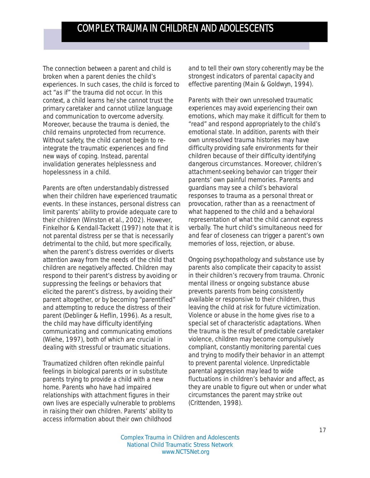The connection between a parent and child is broken when a parent denies the child's experiences. In such cases, the child is forced to act "as if" the trauma did not occur. In this context, a child learns he/she cannot trust the primary caretaker and cannot utilize language and communication to overcome adversity. Moreover, because the trauma is denied, the child remains unprotected from recurrence. Without safety, the child cannot begin to reintegrate the traumatic experiences and find new ways of coping. Instead, parental invalidation generates helplessness and hopelessness in a child.

Parents are often understandably distressed when their children have experienced traumatic events. In these instances, personal distress can limit parents' ability to provide adequate care to their children (Winston et al., 2002). However, Finkelhor & Kendall-Tackett (1997) note that it is not parental distress *per se* that is necessarily detrimental to the child, but more specifically, when the parent's distress overrides or diverts attention away from the needs of the child that children are negatively affected. Children may respond to their parent's distress by avoiding or suppressing the feelings or behaviors that elicited the parent's distress, by avoiding their parent altogether, or by becoming "parentified" and attempting to reduce the distress of their parent (Deblinger & Heflin, 1996). As a result, the child may have difficulty identifying communicating and communicating emotions (Wiehe, 1997), both of which are crucial in dealing with stressful or traumatic situations.

Traumatized children often rekindle painful feelings in biological parents or in substitute parents trying to provide a child with a new home. Parents who have had impaired relationships with attachment figures in their own lives are especially vulnerable to problems in raising their own children. Parents' ability to access information about their own childhood

and to tell their own story coherently may be the strongest indicators of parental capacity and effective parenting (Main & Goldwyn, 1994).

Parents with their own unresolved traumatic experiences may avoid experiencing their own emotions, which may make it difficult for them to "read" and respond appropriately to the child's emotional state. In addition, parents with their own unresolved trauma histories may have difficulty providing safe environments for their children because of their difficulty identifying dangerous circumstances. Moreover, children's attachment-seeking behavior can trigger their parents' own painful memories. Parents and guardians may see a child's behavioral responses to trauma as a personal threat or provocation, rather than as a reenactment of what happened to the child and a behavioral representation of what the child cannot express verbally. The hurt child's simultaneous need for *and* fear of closeness can trigger a parent's *own* memories of loss, rejection, or abuse.

Ongoing psychopathology and substance use by parents also complicate their capacity to assist in their children's recovery from trauma. Chronic mental illness or ongoing substance abuse prevents parents from being consistently available or responsive to their children, thus leaving the child at risk for future victimization. Violence or abuse in the home gives rise to a special set of characteristic adaptations. When the trauma is the result of predictable caretaker violence, children may become compulsively compliant, constantly monitoring parental cues and trying to modify their behavior in an attempt to prevent parental violence. Unpredictable parental aggression may lead to wide fluctuations in children's behavior and affect, as they are unable to figure out when or under what circumstances the parent may strike out (Crittenden, 1998).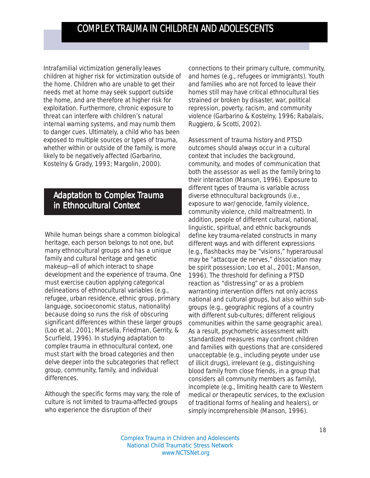Intrafamilial victimization generally leaves children at higher risk for victimization outside of the home. Children who are unable to get their needs met at home may seek support outside the home, and are therefore at higher risk for exploitation. Furthermore, chronic exposure to threat can interfere with children's natural internal warning systems, and may numb them to danger cues. Ultimately, a child who has been exposed to multiple sources or types of trauma, whether within or outside of the family, is more likely to be negatively affected (Garbarino, Kostelny & Grady, 1993; Margolin, 2000).

### Adaptation to Complex Trauma in Ethnocultural Context

While human beings share a common biological heritage, each person belongs to not one, but many ethnocultural groups and has a unique family and cultural heritage and genetic makeup—all of which interact to shape development and the experience of trauma. One must exercise caution applying categorical delineations of ethnocultural variables (e.g., refugee, urban residence, ethnic group, primary language, socioeconomic status, nationality) because doing so runs the risk of obscuring significant differences within these larger groups (Loo et al., 2001; Marsella, Friedman, Gerrity, & Scurfield, 1996). In studying adaptation to complex trauma in ethnocultural context, one must start with the broad categories and then delve deeper into the subcategories that reflect group, community, family, and individual differences.

Although the specific forms may vary, the role of culture is not limited to trauma-affected groups who experience the disruption of their

connections to their primary culture, community, and homes (e.g., refugees or immigrants). Youth and families who are not forced to leave their homes still may have critical ethnocultural ties strained or broken by disaster, war, political repression, poverty, racism, and community violence (Garbarino & Kostelny, 1996; Rabalais, Ruggiero, & Scotti, 2002).

Assessment of trauma history and PTSD outcomes should always occur in a cultural context that includes the background, community, and modes of communication that both the assessor as well as the family bring to their interaction (Manson, 1996). Exposure to different types of trauma is variable across diverse ethnocultural backgrounds (i.e., exposure to war/genocide, family violence, community violence, child maltreatment). In addition, people of different cultural, national, linguistic, spiritual, and ethnic backgrounds define key trauma-related constructs in many different ways and with different expressions (e.g., flashbacks may be "visions," hyperarousal may be "attacque de nerves," dissociation may be spirit possession; Loo et al., 2001; Manson, 1996). The threshold for defining a PTSD reaction as "distressing" or as a problem warranting intervention differs not only across national and cultural groups, but also within subgroups (e.g., geographic regions of a country with different sub-cultures; different religious communities within the same geographic area). As a result, psychometric assessment with standardized measures may confront children and families with questions that are considered unacceptable (e.g., including peyote under use of illicit drugs), irrelevant (e.g., distinguishing blood family from close friends, in a group that considers all community members as family), incomplete (e.g., limiting health care to Western medical or therapeutic services, to the exclusion of traditional forms of healing and healers), or simply incomprehensible (Manson, 1996).

Complex Trauma in Children and Adolescents National Child Traumatic Stress Network www.NCTSNet.org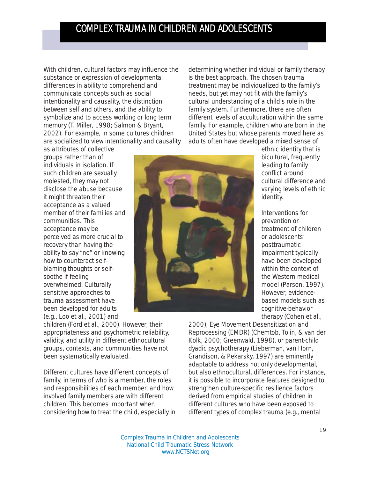With children, cultural factors may influence the substance or expression of developmental differences in ability to comprehend and communicate concepts such as social intentionality and causality, the distinction between self and others, and the ability to symbolize and to access working or long term memory (T. Miller, 1998; Salmon & Bryant, 2002). For example, in some cultures children are socialized to view intentionality and causality

determining whether individual or family therapy is the best approach. The chosen trauma treatment may be individualized to the family's needs, but yet may not fit with the family's cultural understanding of a child's role in the family system. Furthermore, there are often different levels of acculturation within the same family. For example, children who are born in the United States but whose parents moved here as adults often have developed a mixed sense of

as attributes of collective groups rather than of individuals in isolation. If such children are sexually molested, they may not disclose the abuse because it might threaten their acceptance as a valued member of their families and communities. This acceptance may be perceived as more crucial to recovery than having the ability to say "no" or knowing how to counteract selfblaming thoughts or selfsoothe if feeling overwhelmed. Culturally sensitive approaches to trauma assessment have been developed for adults (e.g., Loo et al., 2001) and

children (Ford et al., 2000). However, their appropriateness and psychometric reliability, validity, and utility in different ethnocultural groups, contexts, and communities have not been systematically evaluated.

Different cultures have different concepts of family, in terms of who is a member, the roles and responsibilities of each member, and how involved family members are with different children. This becomes important when considering how to treat the child, especially in



ethnic identity that is bicultural, frequently leading to family conflict around cultural difference and varying levels of ethnic identity.

Interventions for prevention or treatment of children or adolescents' posttraumatic impairment typically have been developed within the context of the Western medical model (Parson, 1997). However, evidencebased models such as cognitive-behavior therapy (Cohen et al.,

2000), Eye Movement Desensitization and Reprocessing (EMDR) (Chemtob, Tolin, & van der Kolk, 2000; Greenwald, 1998), or parent-child dyadic psychotherapy (Lieberman, van Horn, Grandison, & Pekarsky, 1997) are eminently adaptable to address not only developmental, but also ethnocultural, differences. For instance, it is possible to incorporate features designed to strengthen culture-specific resilience factors derived from empirical studies of children in different cultures who have been exposed to different types of complex trauma (e.g., mental

Complex Trauma in Children and Adolescents National Child Traumatic Stress Network www.NCTSNet.org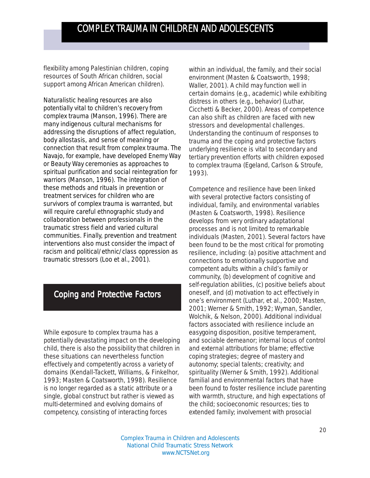flexibility among Palestinian children, coping resources of South African children, social support among African American children).

Naturalistic healing resources are also potentially vital to children's recovery from complex trauma (Manson, 1996). There are many indigenous cultural mechanisms for addressing the disruptions of affect regulation, body allostasis, and sense of meaning or connection that result from complex trauma. The Navajo, for example, have developed Enemy Way or Beauty Way ceremonies as approaches to spiritual purification and social reintegration for warriors (Manson, 1996). The integration of these methods and rituals in prevention or treatment services for children who are survivors of complex trauma is warranted, but will require careful ethnographic study and collaboration between professionals in the traumatic stress field and varied cultural communities. Finally, prevention and treatment interventions also must consider the impact of racism and political/ethnic/class oppression as traumatic stressors (Loo et al., 2001).

### Coping and Protective Factors

While exposure to complex trauma has a potentially devastating impact on the developing child, there is also the possibility that children in these situations can nevertheless function effectively and competently across a variety of domains (Kendall-Tackett, Williams, & Finkelhor, 1993; Masten & Coatsworth, 1998). Resilience is no longer regarded as a static attribute or a single, global construct but rather is viewed as multi-determined and evolving domains of competency, consisting of interacting forces

within an individual, the family, and their social environment (Masten & Coatsworth, 1998; Waller, 2001). A child may function well in certain domains (e.g., academic) while exhibiting distress in others (e.g., behavior) (Luthar, Cicchetti & Becker, 2000). Areas of competence can also shift as children are faced with new stressors and developmental challenges. Understanding the continuum of responses to trauma and the coping and protective factors underlying resilience is vital to secondary and tertiary prevention efforts with children exposed to complex trauma (Egeland, Carlson & Stroufe, 1993).

Competence and resilience have been linked with several protective factors consisting of individual, family, and environmental variables (Masten & Coatsworth, 1998). Resilience develops from very ordinary adaptational processes and is not limited to remarkable individuals (Masten, 2001). Several factors have been found to be the most critical for promoting resilience, including: (a) positive attachment and connections to emotionally supportive and competent adults within a child's family or community, (b) development of cognitive and self-regulation abilities, (c) positive beliefs about oneself, and (d) motivation to act effectively in one's environment (Luthar, et al., 2000; Masten, 2001; Werner & Smith, 1992; Wyman, Sandler, Wolchik, & Nelson, 2000). Additional individual factors associated with resilience include an easygoing disposition, positive temperament, and sociable demeanor; internal locus of control and external attributions for blame; effective coping strategies; degree of mastery and autonomy; special talents; creativity; and spirituality (Werner & Smith, 1992). Additional familial and environmental factors that have been found to foster resilience include parenting with warmth, structure, and high expectations of the child; socioeconomic resources; ties to extended family; involvement with prosocial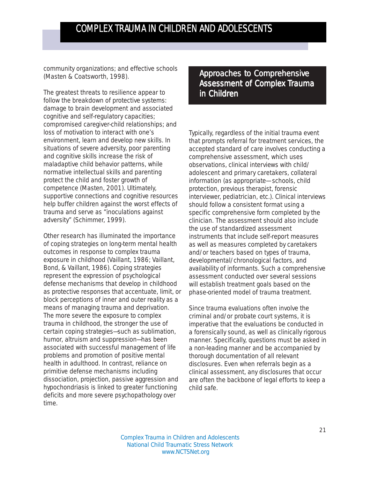community organizations; and effective schools (Masten & Coatsworth, 1998).

The greatest threats to resilience appear to follow the breakdown of protective systems: damage to brain development and associated cognitive and self-regulatory capacities; compromised caregiver-child relationships; and loss of motivation to interact with one's environment, learn and develop new skills. In situations of severe adversity, poor parenting and cognitive skills increase the risk of maladaptive child behavior patterns, while normative intellectual skills and parenting protect the child and foster growth of competence (Masten, 2001). Ultimately, supportive connections and cognitive resources help buffer children against the worst effects of trauma and serve as "inoculations against adversity" (Schimmer, 1999).

Other research has illuminated the importance of coping strategies on long-term mental health outcomes in response to complex trauma exposure in childhood (Vaillant, 1986; Vaillant, Bond, & Vaillant, 1986). Coping strategies represent the expression of psychological defense mechanisms that develop in childhood as protective responses that accentuate, limit, or block perceptions of inner and outer reality as a means of managing trauma and deprivation. The more severe the exposure to complex trauma in childhood, the stronger the use of certain coping strategies—such as sublimation, humor, altruism and suppression—has been associated with successful management of life problems and promotion of positive mental health in adulthood. In contrast, reliance on primitive defense mechanisms including dissociation, projection, passive aggression and hypochondriasis is linked to greater functioning deficits and more severe psychopathology over time.

Approaches to Comprehensive Assessment of Complex Trauma in Children

Typically, regardless of the initial trauma event that prompts referral for treatment services, the accepted standard of care involves conducting a comprehensive assessment, which uses observations, clinical interviews with child/ adolescent and primary caretakers, collateral information (as appropriate— schools, child protection, previous therapist, forensic interviewer, pediatrician, etc.). Clinical interviews should follow a consistent format using a specific comprehensive form completed by the clinician. The assessment should also include the use of standardized assessment instruments that include self-report measures as well as measures completed by caretakers and/or teachers based on types of trauma, developmental/chronological factors, and availability of informants. Such a comprehensive assessment conducted over several sessions will establish treatment goals based on the phase-oriented model of trauma treatment.

Since trauma evaluations often involve the criminal and/or probate court systems, it is imperative that the evaluations be conducted in a forensically sound, as well as clinically rigorous manner. Specifically, questions must be asked in a non-leading manner and be accompanied by thorough documentation of all relevant disclosures. Even when referrals begin as a clinical assessment, any disclosures that occur are often the backbone of legal efforts to keep a child safe.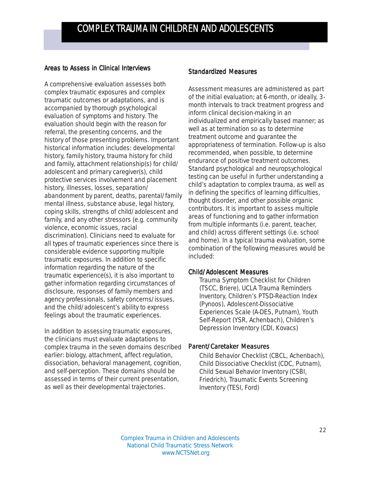#### Areas to Assess in Clinical Interviews

A comprehensive evaluation assesses both complex traumatic *exposures* and complex traumatic *outcomes* or adaptations, and is accompanied by thorough psychological evaluation of symptoms and history. The evaluation should begin with the reason for referral, the presenting concerns, and the history of those presenting problems. Important historical information includes: developmental history, family history, trauma history for child and family, attachment relationship(s) for child/ adolescent and primary caregiver(s), child protective services involvement and placement history, illnesses, losses, separation/ abandonment by parent, deaths, parental/family mental illness, substance abuse, legal history, coping skills, strengths of child/adolescent and family, and any other stressors (e.g. community violence, economic issues, racial discrimination). Clinicians need to evaluate for all types of traumatic experiences since there is considerable evidence supporting multiple traumatic exposures. In addition to specific information regarding the nature of the traumatic experience(s), it is also important to gather information regarding circumstances of disclosure, responses of family members and agency professionals, safety concerns/issues, and the child/adolescent's ability to express feelings about the traumatic experiences.

In addition to assessing traumatic exposures, the clinicians must evaluate adaptations to complex trauma in the seven domains described earlier: biology, attachment, affect regulation, dissociation, behavioral management, cognition, and self-perception. These domains should be assessed in terms of their current presentation, as well as their developmental trajectories.

#### **Standardized Measures**

Assessment measures are administered as part of the initial evaluation; at 6-month, or ideally, 3 month intervals to track treatment progress and inform clinical decision-making in an individualized and empirically based manner; as well as at termination so as to determine treatment outcome and guarantee the appropriateness of termination. Follow-up is also recommended, when possible, to determine endurance of positive treatment outcomes. Standard psychological and neuropsychological testing can be useful in further understanding a child's adaptation to complex trauma, as well as in defining the specifics of learning difficulties, thought disorder, and other possible organic contributors. It is important to assess multiple areas of functioning and to gather information from multiple informants (i.e. parent, teacher, and child) across different settings (i.e. school and home). In a typical trauma evaluation, some combination of the following measures would be included:

#### *Child/Adolescent Measures*

Trauma Symptom Checklist for Children (TSCC, Briere), UCLA Trauma Reminders Inventory, Children's PTSD-Reaction Index (Pynoos), Adolescent-Dissociative Experiences Scale (A-DES, Putnam), Youth Self-Report (YSR, Achenbach), Children's Depression Inventory (CDI, Kovacs)

#### *Parent/Caretaker Measures*

Child Behavior Checklist (CBCL, Achenbach), Child Dissociative Checklist (CDC, Putnam), Child Sexual Behavior Inventory (CSBI, Friedrich), Traumatic Events Screening Inventory (TESI, Ford)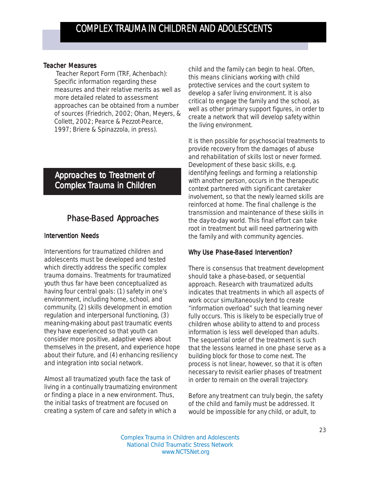#### *Teacher Measures*

 Teacher Report Form (TRF, Achenbach): Specific information regarding these measures and their relative merits as well as more detailed related to assessment approaches can be obtained from a number of sources (Friedrich, 2002; Ohan, Meyers, & Collett, 2002; Pearce & Pezzot-Pearce, 1997; Briere & Spinazzola, in press).

### Approaches to Treatment of Complex Trauma in Children

### Phase-Based Approaches

#### Intervention Needs

Interventions for traumatized children and adolescents must be developed and tested which directly address the specific complex trauma domains. Treatments for traumatized youth thus far have been conceptualized as having four central goals: (1) *safety* in one's environment, including home, school, and community, (2) *skills development* in emotion regulation and interpersonal functioning, (3) *meaning-making* about past traumatic events they have experienced so that youth can consider more positive, adaptive views about themselves in the present, and experience hope about their future, and (4) *enhancing resiliency and integration into social network.*

Almost all traumatized youth face the task of living in a continually traumatizing environment or finding a place in a new environment. Thus, the initial tasks of treatment are focused on creating a system of care and safety in which a

child and the family can begin to heal. Often, this means clinicians working with child protective services and the court system to develop a safer living environment. It is also critical to engage the family and the school, as well as other primary support figures, in order to create a network that will develop safety within the living environment.

It is then possible for psychosocial treatments to provide recovery from the damages of abuse and rehabilitation of skills lost or never formed. Development of these basic skills, e.g. identifying feelings and forming a relationship with another person, occurs in the therapeutic context partnered with significant caretaker involvement, so that the newly learned skills are reinforced at home. The final challenge is the transmission and maintenance of these skills in the day-to-day world. This final effort can take root in treatment but will need partnering with the family and with community agencies.

#### Why Use Phase-Based Intervention?

There is consensus that treatment development should take a phase-based, or sequential approach. Research with traumatized adults indicates that treatments in which all aspects of work occur simultaneously tend to create "information overload" such that learning never fully occurs. This is likely to be especially true of children whose ability to attend to and process information is less well developed than adults. The sequential order of the treatment is such that the lessons learned in one phase serve as a building block for those to come next. The process is not linear, however, so that it is often necessary to revisit earlier phases of treatment in order to remain on the overall trajectory.

Before any treatment can truly begin, the safety of the child and family must be addressed. It would be impossible for any child, or adult, to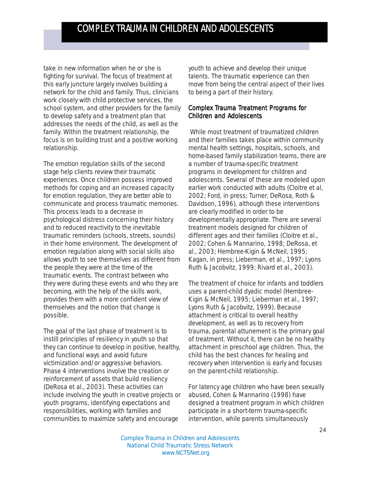take in new information when he or she is fighting for survival. The focus of treatment at this early juncture largely involves building a network for the child and family. Thus, clinicians work closely with child protective services, the school system, and other providers for the family to develop safety and a treatment plan that addresses the needs of the child, as well as the family. Within the treatment relationship, the focus is on building trust and a positive working relationship.

The emotion regulation skills of the second stage help clients review their traumatic experiences. Once children possess improved methods for coping and an increased capacity for emotion regulation, they are better able to communicate and process traumatic memories. This process leads to a decrease in psychological distress concerning their history and to reduced reactivity to the inevitable traumatic reminders (schools, streets, sounds) in their home environment. The development of emotion regulation along with social skills also allows youth to see themselves as different from the people they were at the time of the traumatic events. The contrast between who they were during these events and who they are becoming, with the help of the skills work, provides them with a more confident view of themselves and the notion that change is possible.

The goal of the last phase of treatment is to instill principles of resiliency in youth so that they can continue to develop in positive, healthy, and functional ways and avoid future victimization and/or aggressive behaviors. Phase 4 interventions involve the creation or reinforcement of assets that build resiliency (DeRosa et al., 2003). These activities can include involving the youth in creative projects or youth programs, identifying expectations and responsibilities, working with families and communities to maximize safety and encourage

youth to achieve and develop their unique talents. The traumatic experience can then move from being the central aspect of their lives to being a part of their history.

#### Complex Trauma Treatment Programs for Children and Adolescents

 While most treatment of traumatized children and their families takes place within community mental health settings, hospitals, schools, and home-based family stabilization teams, there are a number of trauma-specific treatment programs in development for children and adolescents. Several of these are modeled upon earlier work conducted with adults (Cloitre et al, 2002; Ford, in press; Turner, DeRosa, Roth & Davidson, 1996), although these interventions are clearly modified in order to be developmentally appropriate. There are several treatment models designed for children of different ages and their families (Cloitre et al., 2002; Cohen & Mannarino, 1998; DeRosa, et al., 2003; Hembree-Kigin & McNeil, 1995; Kagan, in press; Lieberman, et al., 1997; Lyons Ruth & Jacobvitz, 1999; Rivard et al., 2003).

The treatment of choice for infants and toddlers uses a parent-child dyadic model (Hembree-Kigin & McNeil, 1995; Lieberman et al., 1997; Lyons Ruth & Jacobvitz, 1999). Because attachment is critical to overall healthy development, as well as to recovery from trauma, parental attunement is the primary goal of treatment. Without it, there can be no healthy attachment in preschool age children. Thus, the child has the best chances for healing and recovery when intervention is early and focuses on the parent-child relationship.

For latency age children who have been sexually abused, Cohen & Mannarino (1998) have designed a treatment program in which children participate in a short-term trauma-specific intervention, while parents simultaneously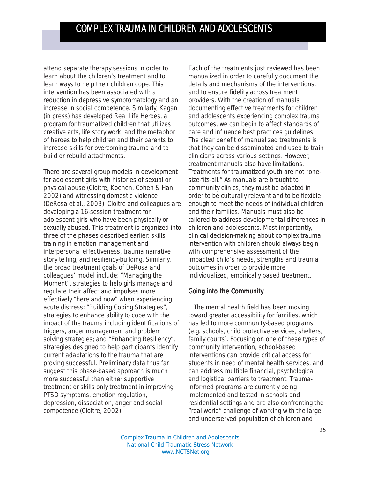attend separate therapy sessions in order to learn about the children's treatment and to learn ways to help their children cope. This intervention has been associated with a reduction in depressive symptomatology and an increase in social competence. Similarly, Kagan (in press) has developed Real Life Heroes, a program for traumatized children that utilizes creative arts, life story work, and the metaphor of heroes to help children and their parents to increase skills for overcoming trauma and to build or rebuild attachments.

There are several group models in development for adolescent girls with histories of sexual or physical abuse (Cloitre, Koenen, Cohen & Han, 2002) and witnessing domestic violence (DeRosa et al., 2003). Cloitre and colleagues are developing a 16-session treatment for adolescent girls who have been physically or sexually abused. This treatment is organized into three of the phases described earlier: skills training in emotion management and interpersonal effectiveness, trauma narrative story telling, and resiliency-building. Similarly, the broad treatment goals of DeRosa and colleagues' model include: "Managing the Moment", strategies to help girls manage and regulate their affect and impulses more effectively "here and now" when experiencing acute distress; "Building Coping Strategies", strategies to enhance ability to cope with the impact of the trauma including identifications of triggers, anger management and problem solving strategies; and "Enhancing Resiliency", strategies designed to help participants identify current adaptations to the trauma that are proving successful. Preliminary data thus far suggest this phase-based approach is much more successful than either supportive treatment or skills only treatment in improving PTSD symptoms, emotion regulation, depression, dissociation, anger and social competence (Cloitre, 2002).

Each of the treatments just reviewed has been manualized in order to carefully document the details and mechanisms of the interventions, and to ensure fidelity across treatment providers. With the creation of manuals documenting effective treatments for children and adolescents experiencing complex trauma outcomes, we can begin to affect standards of care and influence best practices guidelines. The clear benefit of manualized treatments is that they can be disseminated and used to train clinicians across various settings. However, treatment manuals also have limitations. Treatments for traumatized youth are not "onesize-fits-all." As manuals are brought to community clinics, they must be adapted in order to be culturally relevant and to be flexible enough to meet the needs of individual children and their families. Manuals must also be tailored to address developmental differences in children and adolescents. Most importantly, clinical decision-making about complex trauma intervention with children should always begin with comprehensive assessment of the impacted child's needs, strengths and trauma outcomes in order to provide more individualized, empirically based treatment.

#### Going into the Community

 The mental health field has been moving toward greater accessibility for families, which has led to more community-based programs (e.g. schools, child protective services, shelters, family courts). Focusing on one of these types of community intervention, school-based interventions can provide critical access for students in need of mental health services, and can address multiple financial, psychological and logistical barriers to treatment. Traumainformed programs are currently being implemented and tested in schools and residential settings and are also confronting the "real world" challenge of working with the large and underserved population of children and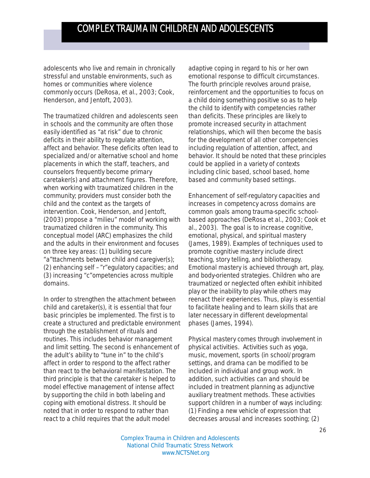adolescents who live and remain in chronically stressful and unstable environments, such as homes or communities where violence commonly occurs (DeRosa, et al., 2003; Cook, Henderson, and Jentoft, 2003).

The traumatized children and adolescents seen in schools and the community are often those easily identified as "at risk" due to chronic deficits in their ability to regulate attention, affect and behavior. These deficits often lead to specialized and/or alternative school and home placements in which the staff, teachers, and counselors frequently become primary caretaker(s) and attachment figures. Therefore, when working with traumatized children in the community; providers must consider both the child and the context as the targets of intervention. Cook, Henderson, and Jentoft, (2003) propose a "milieu" model of working with traumatized children in the community. This conceptual model (ARC) emphasizes the child and the adults in their environment and focuses on three key areas: (1) building secure "a"ttachments between child and caregiver(s); (2) enhancing self –"r"egulatory capacities; and (3) increasing "c"ompetencies across multiple domains.

In order to strengthen the attachment between child and caretaker(s), it is essential that four basic principles be implemented. The first is to create a structured and predictable environment through the establishment of rituals and routines. This includes behavior management and limit setting. The second is enhancement of the adult's ability to "tune in" to the child's affect in order to respond to the affect rather than react to the behavioral manifestation. The third principle is that the caretaker is helped to model effective management of intense affect by supporting the child in both labeling and coping with emotional distress. It should be noted that in order to respond to rather than react to a child requires that the adult model

adaptive coping in regard to his or her own emotional response to difficult circumstances. The fourth principle revolves around praise, reinforcement and the opportunities to focus on a child doing something positive so as to help the child to identify with competencies rather than deficits. These principles are likely to promote increased security in attachment relationships, which will then become the basis for the development of all other competencies including regulation of attention, affect, and behavior. It should be noted that these principles could be applied in a variety of contexts including clinic based, school based, home based and community based settings.

Enhancement of self-regulatory capacities and increases in competency across domains are common goals among trauma-specific schoolbased approaches (DeRosa et al., 2003; Cook et al., 2003). The goal is to increase cognitive, emotional, physical, and spiritual mastery (James, 1989). Examples of techniques used to promote cognitive mastery include direct teaching, story telling, and bibliotherapy. Emotional mastery is achieved through art, play, and body-oriented strategies. Children who are traumatized or neglected often exhibit inhibited play or the inability to play while others may reenact their experiences. Thus, play is essential to facilitate healing and to learn skills that are later necessary in different developmental phases (James, 1994).

Physical mastery comes through involvement in physical activities. Activities such as yoga, music, movement, sports (in school/program settings, and drama can be modified to be included in individual and group work. In addition, such activities can and should be included in treatment planning as *adjunctive auxiliary treatment methods*. These activities support children in a number of ways including: (1) Finding a new vehicle of expression that decreases arousal and increases soothing; (2)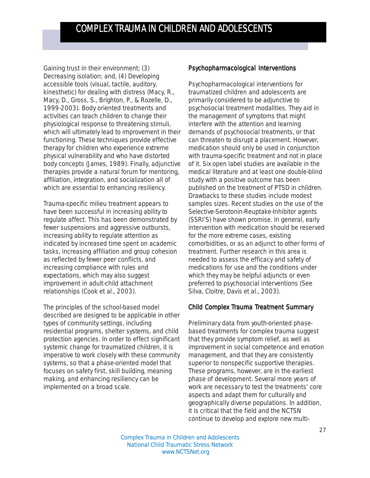Gaining trust in their environment; (3) Decreasing isolation; and, (4) Developing accessible tools (visual, tactile, auditory, kinesthetic) for dealing with distress (Macy, R., Macy, D., Gross, S., Brighton, P., & Rozelle, D., 1999-2003). Body oriented treatments and activities can teach children to change their physiological response to threatening stimuli, which will ultimately lead to improvement in their functioning. These techniques provide effective therapy for children who experience extreme physical vulnerability and who have distorted body concepts (James, 1989). Finally, adjunctive therapies provide a natural forum for mentoring, affiliation, integration, and socialization all of which are essential to enhancing resiliency.

Trauma-specific milieu treatment appears to have been successful in increasing ability to regulate affect. This has been demonstrated by fewer suspensions and aggressive outbursts, increasing ability to regulate attention as indicated by increased time spent on academic tasks, increasing affiliation and group cohesion as reflected by fewer peer conflicts, and increasing compliance with rules and expectations, which may also suggest improvement in adult-child attachment relationships (Cook et al., 2003).

The principles of the school-based model described are designed to be applicable in other types of community settings, including residential programs, shelter systems, and child protection agencies. In order to effect significant systemic change for traumatized children, it is imperative to work closely with these community systems, so that a phase-oriented model that focuses on safety first, skill building, meaning making, and enhancing resiliency can be implemented on a broad scale.

#### Psychopharmacological Interventions

Psychopharmacological interventions for traumatized children and adolescents are primarily considered to be adjunctive to psychosocial treatment modalities. They aid in the management of symptoms that might interfere with the attention and learning demands of psychosocial treatments, or that can threaten to disrupt a placement. However, medication should only be used in conjunction with trauma-specific treatment and not in place of it. Six open label studies are available in the medical literature and at least one double-blind study with a positive outcome has been published on the treatment of PTSD in children. Drawbacks to these studies include modest samples sizes. Recent studies on the use of the Selective-Serotonin-Reuptake-Inhibitor agents (SSRI'S) have shown promise. In general, early intervention with medication should be reserved for the more extreme cases, existing comorbidities, or as an adjunct to other forms of treatment. Further research in this area is needed to assess the efficacy and safety of medications for use and the conditions under which they may be helpful adjuncts or even preferred to psychosocial interventions (See Silva, Cloitre, Davis et al., 2003).

#### Child Complex Trauma Treatment Summary

Preliminary data from youth-oriented phasebased treatments for complex trauma suggest that they provide symptom relief, as well as improvement in social competence and emotion management, and that they are consistently superior to nonspecific supportive therapies. These programs, however, are in the earliest phase of development. Several more years of work are necessary to test the treatments' core aspects and adapt them for culturally and geographically diverse populations. In addition, it is critical that the field and the NCTSN continue to develop and explore new multi-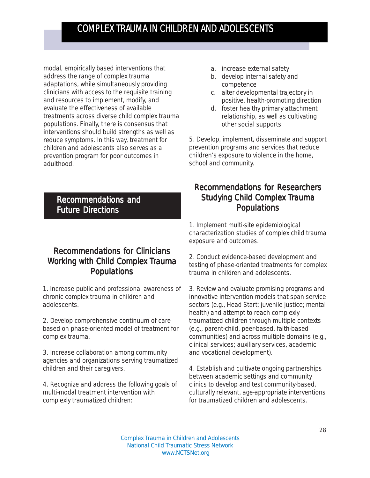modal, empirically based interventions that address the range of complex trauma adaptations, while simultaneously providing clinicians with access to the requisite training and resources to implement, modify, and evaluate the effectiveness of available treatments across diverse child complex trauma populations. Finally, there is consensus that interventions should build strengths as well as reduce symptoms. In this way, treatment for children and adolescents also serves as a prevention program for poor outcomes in adulthood.

Recommendations and **Future Directions** 

### Recommendations for Clinicians Working with Child Complex Trauma Populations

1. Increase public and professional awareness of chronic complex trauma in children and adolescents.

2. Develop comprehensive continuum of care based on phase-oriented model of treatment for complex trauma.

3. Increase collaboration among community agencies and organizations serving traumatized children and their caregivers.

4. Recognize and address the following goals of multi-modal treatment intervention with complexly traumatized children:

- a. increase external safety
- b. develop internal safety and competence
- c. alter developmental trajectory in positive, health-promoting direction
- d. foster healthy primary attachment relationship, as well as cultivating other social supports

5. Develop, implement, disseminate and support prevention programs and services that reduce children's exposure to violence in the home, school and community.

### **Recommendations for Researchers** Studying Child Complex Trauma Populations

1. Implement multi-site epidemiological characterization studies of complex child trauma exposure and outcomes.

2. Conduct evidence-based development and testing of phase-oriented treatments for complex trauma in children and adolescents.

3. Review and evaluate promising programs and innovative intervention models that span service sectors (e.g., Head Start; juvenile justice; mental health) and attempt to reach complexly traumatized children through multiple contexts (e.g., parent-child, peer-based, faith-based communities) and across multiple domains (e.g., clinical services; auxiliary services, academic and vocational development).

4. Establish and cultivate ongoing partnerships between academic settings and community clinics to develop and test community-based, culturally relevant, age-appropriate interventions for traumatized children and adolescents.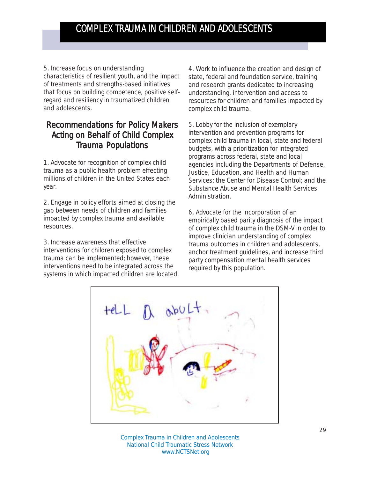5. Increase focus on understanding characteristics of resilient youth, and the impact of treatments and strengths-based initiatives that focus on building competence, positive selfregard and resiliency in traumatized children and adolescents.

### Recommendations for Policy Makers Acting on Behalf of Child Complex **Trauma Populations**

1. Advocate for recognition of complex child trauma as a public health problem effecting millions of children in the United States each year.

2. Engage in policy efforts aimed at closing the gap between needs of children and families impacted by complex trauma and available resources.

3. Increase awareness that effective interventions for children exposed to complex trauma can be implemented; however, these interventions need to be integrated across the systems in which impacted children are located.

4. Work to influence the creation and design of state, federal and foundation service, training and research grants dedicated to increasing understanding, intervention and access to resources for children and families impacted by complex child trauma.

5. Lobby for the inclusion of exemplary intervention and prevention programs for complex child trauma in local, state and federal budgets, with a prioritization for integrated programs across federal, state and local agencies including the Departments of Defense, Justice, Education, and Health and Human Services; the Center for Disease Control; and the Substance Abuse and Mental Health Services Administration.

6. Advocate for the incorporation of an empirically based parity diagnosis of the impact of complex child trauma in the DSM-V in order to improve clinician understanding of complex trauma outcomes in children and adolescents, anchor treatment guidelines, and increase third party compensation mental health services required by this population.



Complex Trauma in Children and Adolescents National Child Traumatic Stress Network www.NCTSNet.org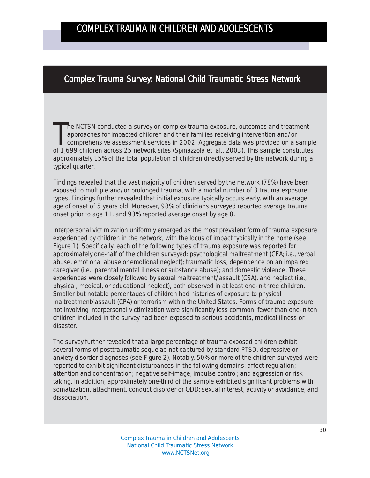### Complex Trauma Survey: National Child Traumatic Stress Network

The NCTSN conducted a survey on complex trauma exposure, outcomes and treatment<br>approaches for impacted children and their families receiving intervention and/or<br>comprehensive assessment services in 2002. Aggregate data wa he NCTSN conducted a survey on complex trauma exposure, outcomes and treatment approaches for impacted children and their families receiving intervention and/or comprehensive assessment services in 2002. Aggregate data was provided on a sample approximately 15% of the total population of children directly served by the network during a typical quarter.

Findings revealed that the vast majority of children served by the network (78%) have been exposed to multiple and/or prolonged trauma, with a modal number of 3 trauma exposure types. Findings further revealed that initial exposure typically occurs early, with an average age of onset of 5 years old. Moreover, 98% of clinicians surveyed reported average trauma onset prior to age 11, and 93% reported average onset by age 8.

*Interpersonal victimization* uniformly emerged as the most prevalent form of trauma exposure experienced by children in the network, with the locus of impact typically in the home (see Figure 1). Specifically, each of the following types of trauma exposure was reported for approximately one-half of the children surveyed: *psychological maltreatment* (CEA; i.e., verbal abuse, emotional abuse or emotional neglect); *traumatic loss*; dependence on an *impaired caregiver* (i.e., parental mental illness or substance abuse); and *domestic violence*. These experiences were closely followed by *sexual maltreatment/assault* (CSA), and *neglect* (i.e., physical, medical, or educational neglect), both observed in at least one-in-three children. Smaller but notable percentages of children had histories of exposure to *physical maltreatment/assault* (CPA) or *terrorism* within the United States. Forms of trauma exposure not involving interpersonal victimization were significantly less common: fewer than one-in-ten children included in the survey had been exposed to serious accidents, medical illness or disaster.

The survey further revealed that a large percentage of trauma exposed children exhibit several forms of posttraumatic sequelae not captured by standard PTSD, depressive or anxiety disorder diagnoses (see Figure 2). Notably, 50% or more of the children surveyed were reported to exhibit significant disturbances in the following domains: *affect regulation*; *attention and concentration*; *negative self-image*; *impulse control*; and *aggression or risk taking*. In addition, approximately one-third of the sample exhibited significant problems with *somatization*, *attachment*, *conduct disorder or ODD*; *sexual interest, activity or avoidance*; and *dissociation*.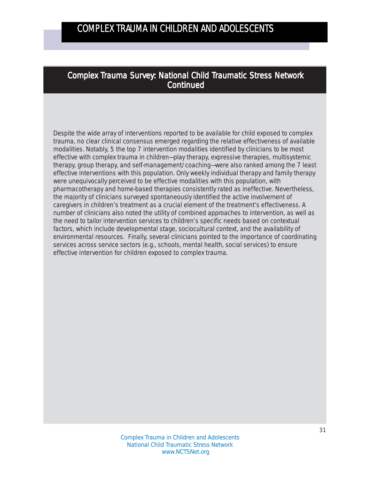### Complex Trauma Survey: National Child Traumatic Stress Network **Continued**

Despite the wide array of interventions reported to be available for child exposed to complex trauma, no clear clinical consensus emerged regarding the relative effectiveness of available modalities. Notably, 5 the top 7 intervention modalities identified by clinicians to be most effective with complex trauma in children—*play therapy, expressive therapies, multisystemic therapy, group therapy,* and *self-management/coaching*—were also ranked among the 7 least effective interventions with this population. Only *weekly individual therapy* and *family therapy* were unequivocally perceived to be effective modalities with this population, with *pharmacotherapy* and *home-based therapies* consistently rated as ineffective. Nevertheless, the majority of clinicians surveyed spontaneously identified the active involvement of caregivers in children's treatment as a crucial element of the treatment's effectiveness. A number of clinicians also noted the utility of combined approaches to intervention, as well as the need to tailor intervention services to children's specific needs based on contextual factors, which include developmental stage, sociocultural context, and the availability of environmental resources. Finally, several clinicians pointed to the importance of coordinating services across service sectors (e.g., schools, mental health, social services) to ensure effective intervention for children exposed to complex trauma.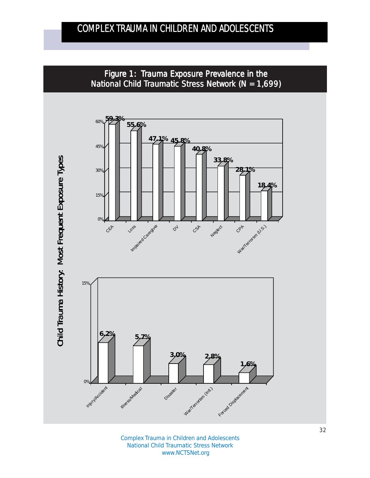

Complex Trauma in Children and Adolescents National Child Traumatic Stress Network www.NCTSNet.org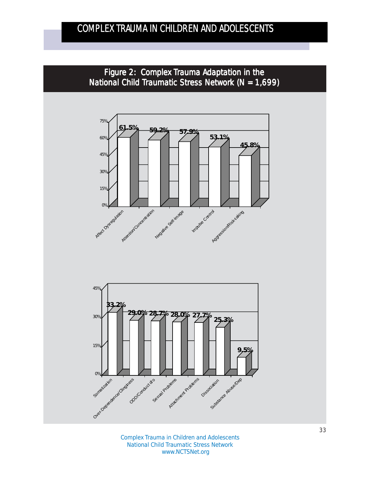





Complex Trauma in Children and Adolescents National Child Traumatic Stress Network www.NCTSNet.org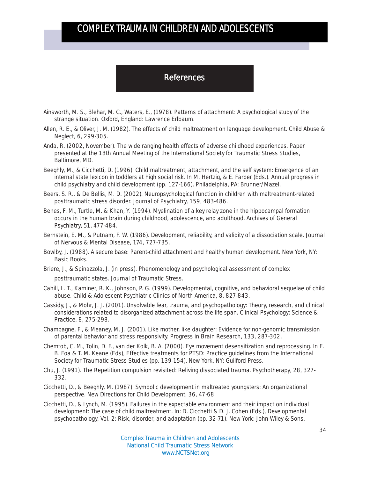### **References**

- Ainsworth, M. S., Blehar, M. C., Waters, E., (1978). *Patterns of attachment: A psychological study of the strange situation.* Oxford, England: Lawrence Erlbaum.
- Allen, R. E., & Oliver, J. M. (1982). The effects of child maltreatment on language development. *Child Abuse & Neglect, 6,* 299-305.
- Anda, R. (2002, November). The wide ranging health effects of adverse childhood experiences. Paper presented at the 18th Annual Meeting of the International Society for Traumatic Stress Studies, Baltimore, MD.
- Beeghly, M., & Cicchetti, D. (1996). Child maltreatment, attachment, and the self system: Emergence of an internal state lexicon in toddlers at high social risk. *In M.* Hertzig, & E. Farber (Eds.). *Annual progress in child psychiatry and child development* (pp. 127-166). Philadelphia, PA: Brunner/Mazel.
- Beers, S. R., & De Bellis, M. D. (2002). Neuropsychological function in children with maltreatment-related posttraumatic stress disorder. *Journal of Psychiatry, 159,* 483-486.
- Benes, F. M., Turtle, M. & Khan, Y. (1994). Myelination of a key relay zone in the hippocampal formation occurs in the human brain during childhood, adolescence, and adulthood. *Archives of General Psychiatry*, 51, 477-484.
- Bernstein, E. M., & Putnam, F. W. (1986). Development, reliability, and validity of a dissociation scale. *Journal of Nervous & Mental Disease, 174,* 727-735.
- Bowlby, J. (1988). A secure base: Parent-child attachment and healthy human development. New York, NY: Basic Books.
- Briere, J., & Spinazzola, J. (in press). Phenomenology and psychological assessment of complex posttraumatic states. *Journal of Traumatic Stress*.
- Cahill, L. T., Kaminer, R. K., Johnson, P. G. (1999). Developmental, cognitive, and behavioral sequelae of child abuse. *Child & Adolescent Psychiatric Clinics of North America, 8,* 827-843.
- Cassidy, J., & Mohr, J. J. (2001). Unsolvable fear, trauma, and psychopathology: Theory, research, and clinical considerations related to disorganized attachment across the life span. *Clinical Psychology: Science & Practice, 8,* 275-298.
- Champagne, F., & Meaney, M. J. (2001). Like mother, like daughter: Evidence for non-genomic transmission of parental behavior and stress responsivity. *Progress in Brain Research, 133,* 287-302*.*
- Chemtob, C. M., Tolin, D. F., van der Kolk, B. A. (2000). Eye movement desensitization and reprocessing. In E. B. Foa & T. M. Keane (Eds), *Effective treatments for PTSD: Practice guidelines from the International Society for Traumatic Stress Studies* (pp. 139-154). New York, NY: Guilford Press.
- Chu, J. (1991). The Repetition compulsion revisited: Reliving dissociated trauma. *Psychotherapy*, *28,* 327- 332.
- Cicchetti, D., & Beeghly, M. (1987). Symbolic development in maltreated youngsters: An organizational perspective. *New Directions for Child Development, 36,* 47-68.
- Cicchetti, D., & Lynch, M. (1995). Failures in the expectable environment and their impact on individual development: The case of child maltreatment. In: D. Cicchetti & D. J. Cohen (Eds.), *Developmental psychopathology, Vol. 2: Risk, disorder, and adaptation* (pp. 32-71). New York: John Wiley & Sons.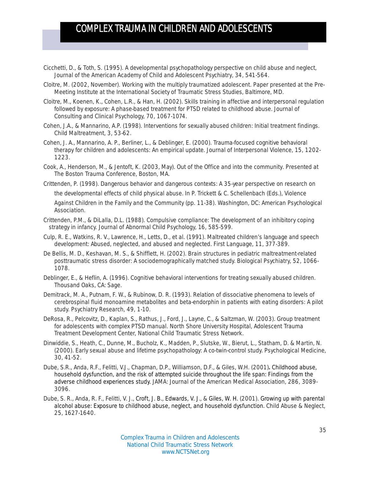- Cicchetti, D., & Toth, S. (1995). A developmental psychopathology perspective on child abuse and neglect, *Journal of the American Academy of Child and Adolescent Psychiatry*, *34*, 541-564.
- Cloitre, M. (2002, November). *Working with the multiply traumatized adolescent.* Paper presented at the Pre-Meeting Institute at the International Society of Traumatic Stress Studies, Baltimore, MD.
- Cloitre, M., Koenen, K., Cohen, L.R., & Han, H. (2002). Skills training in affective and interpersonal regulation followed by exposure: A phase-based treatment for PTSD related to childhood abuse. *Journal of Consulting and Clinical Psychology, 70,* 1067-1074.
- Cohen, J.A., & Mannarino, A.P. (1998). Interventions for sexually abused children: Initial treatment findings. *Child Maltreatment, 3,* 53-62.
- Cohen, J. A., Mannarino, A. P., Berliner, L., & Deblinger, E. (2000). Trauma-focused cognitive behavioral therapy for children and adolescents: An empirical update. *Journal of Interpersonal Violence, 15,* 1202- 1223.
- Cook, A., Henderson, M., & Jentoft, K. (2003, May*). Out of the Office and into the community*. Presented at The Boston Trauma Conference, Boston, MA.
- Crittenden, P. (1998). Dangerous behavior and dangerous contexts: A 35-year perspective on research on the developmental effects of child physical abuse. In P. Trickett & C. Schellenbach (Eds.), *Violence Against Children in the Family and the Community* (pp. 11-38). Washington, DC: American Psychological Association.
- Crittenden, P.M., & DiLalla, D.L. (1988). Compulsive compliance: The development of an inhibitory coping strategy in infancy. *Journal of Abnormal Child Psychology, 16,* 585-599.
- Culp, R. E., Watkins, R. V., Lawrence, H., Letts, D., et al. (1991). Maltreated children's language and speech development: Abused, neglected, and abused and neglected. *First Language, 11,* 377-389.
- De Bellis, M. D., Keshavan, M. S., & Shifflett, H. (2002). Brain structures in pediatric maltreatment-related posttraumatic stress disorder: A sociodemographically matched study. *Biological Psychiatry, 52,* 1066- 1078.
- Deblinger, E., & Heflin, A. (1996*). Cognitive behavioral interventions for treating sexually abused children*. Thousand Oaks, CA: Sage.
- Demitrack, M. A., Putnam, F. W., & Rubinow, D. R. (1993). Relation of dissociative phenomena to levels of cerebrospinal fluid monoamine metabolites and beta-endorphin in patients with eating disorders: A pilot study. *Psychiatry Research, 49,* 1-10.
- DeRosa, R., Pelcovitz, D., Kaplan, S., Rathus, J., Ford, J., Layne, C., & Saltzman, W. (2003). *Group treatment for adolescents with complex PTSD manual*. North Shore University Hospital, Adolescent Trauma Treatment Development Center, National Child Traumatic Stress Network.
- Dinwiddie, S., Heath, C., Dunne, M., Bucholz, K., Madden, P., Slutske, W., Bierut, L., Statham, D. & Martin, N. (2000). Early sexual abuse and lifetime psychopathology: A co-twin-control study. *Psychological Medicine, 30,* 41-52.
- Dube, S.R., Anda, R.F., Felitti, V.J., Chapman, D.P., Williamson, D.F., & Giles, W.H. (2001). Childhood abuse, household dysfunction, and the risk of attempted suicide throughout the life span: Findings from the adverse childhood experiences study. *JAMA: Journal of the American Medical Association, 286,* 3089- 3096.
- Dube, S. R., Anda, R. F., Felitti, V. J., Croft, J. B., Edwards, V. J., & Giles, W. H. (2001). Growing up with parental alcohol abuse: Exposure to childhood abuse, neglect, and household dysfunction. *Child Abuse & Neglect, 25,* 1627-1640.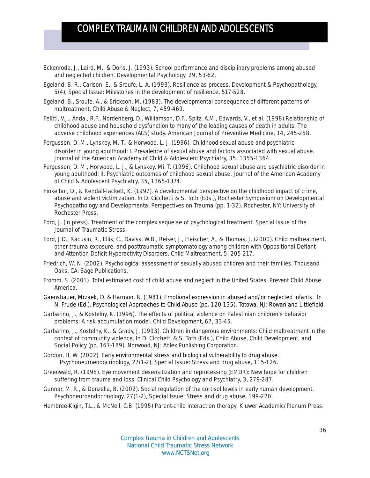- Eckenrode, J., Laird, M., & Doris, J. (1993). School performance and disciplinary problems among abused and neglected children. *Developmental Psychology, 29,* 53-62.
- Egeland, B. R., Carlson, E., & Sroufe, L. A. (1993). Resilience as process. *Development & Psychopathology, 5(4), Special Issue: Milestones in the development of resilience,* 517-528.
- Egeland, B., Sroufe, A., & Erickson, M. (1983). The developmental consequence of different patterns of maltreatment. *Child Abuse & Neglect, 7,* 459-469.
- Felitti, V.J., Anda., R.F., Nordenberg, D., Williamson, D.F., Spitz, A.M., Edwards, V., et al. (1998).Relationship of childhood abuse and household dysfunction to many of the leading causes of death in adults: The adverse childhood experiences (ACS) study. *American Journal of Preventive Medicine, 14,* 245-258.
- Fergusson, D. M., Lynskey, M. T., & Horwood, L. J. (1996). Childhood sexual abuse and psychiatric disorder in young adulthood: I. Prevalence of sexual abuse and factors associated with sexual abuse. *Journal of the American Academy of Child & Adolescent Psychiatry, 35,* 1355-1364.
- Fergusson, D. M., Horwood, L. J., & Lynskey, Mi. T. (1996). Childhood sexual abuse and psychiatric disorder in young adulthood: II. Psychiatric outcomes of childhood sexual abuse. *Journal of the American Academy of Child & Adolescent Psychiatry, 35,* 1365-1374.
- Finkelhor, D., & Kendall-Tackett, K. (1997). A developmental perspective on the childhood impact of crime, abuse and violent victimization. In D. Cicchetti & S. Toth (Eds.), *Rochester Symposium on Developmental Psychopathology and Developmental Perspectives on Trauma* (pp. 1-32). Rochester, NY: University of Rochester Press.
- Ford, J. (in press). *Treatment of the complex sequelae of psychological treatment.* Special Issue of the *Journal of Traumatic Stress*.
- Ford, J.D., Racusin, R., Ellis, C., Daviss, W.B., Reiser, J., Fleischer, A., & Thomas, J. (2000). Child maltreatment, other trauma exposure, and posttraumatic symptomatology among children with Oppositional Defiant and Attention Deficit Hyperactivity Disorders*. Child Maltreatment, 5*, 205-217*.*
- Friedrich, W. N. (2002). Psychological assessment of sexually abused children and their families. Thousand Oaks, CA: Sage Publications.
- Fromm, S. (2001). Total estimated cost of child abuse and neglect in the United States. *Prevent Child Abuse America.*
- Gaensbauer, Mrzaek, D. & Harmon, R. (1981). Emotional expression in abused and/or neglected infants. In N. Frude (Ed.), Psychological Approaches to Child Abuse (pp. 120-135). Totowa, NJ: Rowan and Littlefield.
- Garbarino, J., & Kostelny, K. (1996). The effects of political violence on Palestinian children's behavior problems: A risk accumulation model. *Child Development, 67,* 33-45.
- Garbarino, J., Kostelny, K., & Grady, J. (1993). Children in dangerous environments: Child maltreatment in the context of community violence. In D. Cicchetti & S. Toth (Eds.), *Child Abuse, Child Development, and Social Policy* (pp. 167-189). Norwood, NJ: Ablex Publishing Corporation.
- Gordon, H. W. (2002). Early environmental stress and biological vulnerability to drug abuse. *Psychoneuroendocrinology, 27(1-2), Special Issue: Stress and drug abuse,* 115-126.
- Greenwald, R. (1998). Eye movement desensitization and reprocessing (EMDR): New hope for children suffering from trauma and loss. *Clinical Child Psychology and Psychiatry, 3,* 279-287.
- Gunnar, M. R., & Donzella, B. (2002). Social regulation of the cortisol levels in early human development. *Psychoneuroendocrinology, 27(1-2), Special Issue: Stress and drug abuse,* 199-220.
- Hembree-Kigin, T.L., & McNeil, C.B. (1995) *Parent-child interaction therapy*. Kluwer Academic/Plenum Press.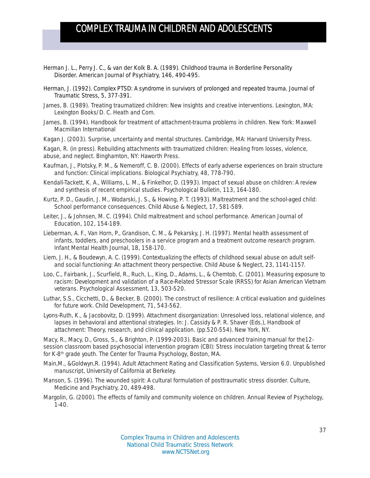- Herman J. L., Perry J. C., & van der Kolk B. A. (1989). Childhood trauma in Borderline Personality Disorder. *American Journal of Psychiatry, 146*, 490-495.
- Herman, J. (1992). Complex PTSD: A syndrome in survivors of prolonged and repeated trauma. *Journal of Traumatic Stress, 5*, 377-391.
- James, B. (1989). *Treating traumatized children: New insights and creative interventions.* Lexington, MA: Lexington Books/D. C. Heath and Com.
- James, B. (1994). Handbook for treatment of attachment-trauma problems in children. New York: Maxwell Macmillan International
- Kagan J. (2003). *Surprise, uncertainty and mental structures.* Cambridge, MA: Harvard University Press.

Kagan, R. (in press). *Rebuilding attachments with traumatized children: Healing from losses, violence, abuse, and neglect.* Binghamton, NY: Haworth Press.

- Kaufman, J., Plotsky, P. M., & Nemeroff, C. B. (2000). Effects of early adverse experiences on brain structure and function: Clinical implications. *Biological Psychiatry, 48,* 778-790.
- Kendall-Tackett, K. A., Williams, L. M., & Finkelhor, D. (1993). Impact of sexual abuse on children: A review and synthesis of recent empirical studies. *Psychological Bulletin, 113,* 164-180.
- Kurtz, P. D., Gaudin, J. M., Wodarski, J. S., & Howing, P. T. (1993). Maltreatment and the school-aged child: School performance consequences. *Child Abuse & Neglect, 17,* 581-589.
- Leiter, J., & Johnsen, M. C. (1994). Child maltreatment and school performance. *American Journal of Education, 102,* 154-189.
- Lieberman, A. F., Van Horn, P., Grandison, C. M., & Pekarsky, J. H. (1997). Mental health assessment of infants, toddlers, and preschoolers in a service program and a treatment outcome research program. *Infant Mental Health Journal, 18,* 158-170.
- Liem, J. H., & Boudewyn, A. C. (1999). Contextualizing the effects of childhood sexual abuse on adult selfand social functioning: An attachment theory perspective. *Child Abuse & Neglect, 23,* 1141-1157.
- Loo, C., Fairbank, J., Scurfield, R., Ruch, L., King, D., Adams, L., & Chemtob, C. (2001). Measuring exposure to racism: Development and validation of a Race-Related Stressor Scale (RRSS) for Asian American Vietnam veterans. *Psychological Assessment, 13,* 503-520.
- Luthar, S.S., Cicchetti, D., & Becker, B. (2000). The construct of resilience: A critical evaluation and guidelines for future work. *Child Development, 71,* 543-562.
- Lyons-Ruth, K., & Jacobovitz, D. (1999). Attachment disorganization: Unresolved loss, relational violence, and lapses in behavioral and attentional strategies. In: J. Cassidy & P. R. Shaver (Eds.), *Handbook of attachment: Theory, research, and clinical application.* (pp.520-554). New York, NY.

Macy, R., Macy, D., Gross, S., & Brighton, P. (1999-2003). Basic and advanced training manual for the12 session classroom based psychosocial intervention program (CBI): Stress inoculation targeting threat & terror for K-8th grade youth. *The Center for Trauma Psychology*, Boston, MA.

- Main,M., &Goldwyn,R. (1994). *Adult Attachment Rating and Classification Systems, Version 6.0.* Unpublished manuscript, University of California at Berkeley.
- Manson, S. (1996). The wounded spirit: A cultural formulation of posttraumatic stress disorder. *Culture, Medicine and Psychiatry, 20*, 489-498.
- Margolin, G. (2000). The effects of family and community violence on children. *Annual Review of Psychology*, 1-40.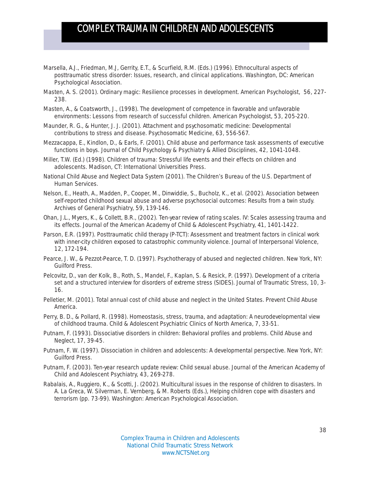- Marsella, A.J., Friedman, M.J, Gerrity, E.T., & Scurfield, R.M. (Eds.) (1996). *Ethnocultural aspects of posttraumatic stress disorder: Issues, research, and clinical applications.* Washington, DC: American Psychological Association.
- Masten, A. S. (2001). Ordinary magic: Resilience processes in development. *American Psychologist, 56,* 227- 238.
- Masten, A., & Coatsworth, J., (1998). The development of competence in favorable and unfavorable environments: Lessons from research of successful children. *American Psychologist, 53,* 205-220.
- Maunder, R. G., & Hunter, J. J. (2001). Attachment and psychosomatic medicine: Developmental contributions to stress and disease. *Psychosomatic Medicine, 63,* 556-567.
- Mezzacappa, E., Kindlon, D., & Earls, F. (2001). Child abuse and performance task assessments of executive functions in boys. *Journal of Child Psychology & Psychiatry & Allied Disciplines, 42,* 1041-1048.
- Miller, T.W. (Ed.) (1998). *Children of trauma: Stressful life events and their effects on children and adolescents.* Madison, CT: International Universities Press.
- National Child Abuse and Neglect Data System (2001). The Children's Bureau of the U.S. Department of Human Services.
- Nelson, E., Heath, A., Madden, P., Cooper, M., Dinwiddie, S., Bucholz, K., et al. (2002). Association between self-reported childhood sexual abuse and adverse psychosocial outcomes: Results from a twin study. *Archives of General Psychiatry, 59*, 139-146.
- Ohan, J.L., Myers, K., & Collett, B.R., (2002). Ten-year review of rating scales. IV: Scales assessing trauma and its effects. *Journal of the American Academy of Child & Adolescent Psychiatry, 41,* 1401-1422.
- Parson, E.R. (1997). Posttraumatic child therapy (P-TCT): Assessment and treatment factors in clinical work with inner-city children exposed to catastrophic community violence. *Journal of Interpersonal Violence, 12,* 172-194.
- Pearce, J. W., & Pezzot-Pearce, T. D. (1997). *Psychotherapy of abused and neglected children.* New York, NY: Guilford Press.
- Pelcovitz, D., van der Kolk, B., Roth, S., Mandel, F., Kaplan, S. & Resick, P. (1997). Development of a criteria set and a structured interview for disorders of extreme stress (SIDES*). Journal of Traumatic Stress, 10,* 3- 16.
- Pelletier, M. (2001). Total annual cost of child abuse and neglect in the United States. *Prevent Child Abuse America.*
- Perry, B. D., & Pollard, R. (1998). Homeostasis, stress, trauma, and adaptation: A neurodevelopmental view of childhood trauma. *Child & Adolescent Psychiatric Clinics of North America, 7,* 33-51.
- Putnam, F. (1993). Dissociative disorders in children: Behavioral profiles and problems. *Child Abuse and Neglect, 17,* 39-45.
- Putnam, F. W. (1997). *Dissociation in children and adolescents: A developmental perspective.* New York, NY: Guilford Press.
- Putnam, F. (2003). Ten-year research update review: Child sexual abuse. *Journal of the American Academy of Child and Adolescent Psychiatry, 43*, 269-278.
- Rabalais, A., Ruggiero, K., & Scotti, J. (2002). Multicultural issues in the response of children to disasters. In A. La Greca, W. Silverman, E. Vernberg, & M. Roberts (Eds.), *Helping children cope with disasters and terrorism* (pp. 73-99). Washington: American Psychological Association.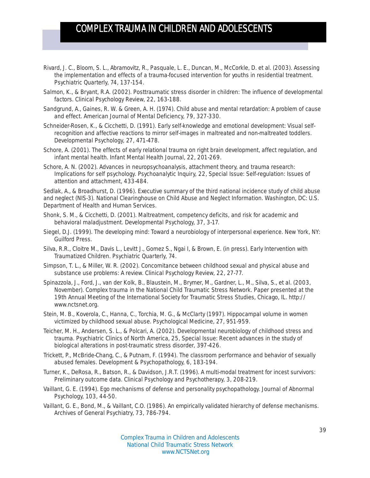- Rivard, J. C., Bloom, S. L., Abramovitz, R., Pasquale, L. E., Duncan, M., McCorkle, D. et al. (2003). Assessing the implementation and effects of a trauma-focused intervention for youths in residential treatment. *Psychiatric Quarterly, 74,* 137-154.
- Salmon, K., & Bryant, R.A. (2002). Posttraumatic stress disorder in children: The influence of developmental factors. *Clinical Psychology Review, 22,* 163-188.
- Sandgrund, A., Gaines, R. W. & Green, A. H. (1974). Child abuse and mental retardation: A problem of cause and effect. *American Journal of Mental Deficiency, 79,* 327-330.
- Schneider-Rosen, K., & Cicchetti, D. (1991). Early self-knowledge and emotional development: Visual selfrecognition and affective reactions to mirror self-images in maltreated and non-maltreated toddlers. *Developmental Psychology, 27,* 471-478.
- Schore, A. (2001). The effects of early relational trauma on right brain development, affect regulation, and infant mental health. *Infant Mental Health Journal, 22*, 201-269.
- Schore, A. N. (2002). Advances in neuropsychoanalysis, attachment theory, and trauma research: Implications for self psychology. *Psychoanalytic Inquiry, 22, Special Issue: Self-regulation: Issues of attention and attachment,* 433-484.

Sedlak, A., & Broadhurst, D. (1996). Executive summary of the third national incidence study of child abuse and neglect (NIS-3). *National Clearinghouse on Child Abuse and Neglect Information.* Washington, DC: U.S. Department of Health and Human Services.

- Shonk, S. M., & Cicchetti, D. (2001). Maltreatment, competency deficits, and risk for academic and behavioral maladjustment. *Developmental Psychology, 37,* 3-17.
- Siegel, D.J. (1999). *The developing mind: Toward a neurobiology of interpersonal experience.* New York, NY: Guilford Press.
- Silva, R.R., Cloitre M., Davis L., Levitt J., Gomez S., Ngai I, & Brown, E. (in press). Early Intervention with Traumatized Children. *Psychiatric Quarterly, 74.*
- Simpson, T. L., & Miller, W. R. (2002). Concomitance between childhood sexual and physical abuse and substance use problems: A review. *Clinical Psychology Review, 22,* 27-77.
- Spinazzola, J., Ford, J., van der Kolk, B., Blaustein, M., Brymer, M., Gardner, L., M., Silva, S., et al. (2003, November). *Complex trauma in the National Child Traumatic Stress Network.* Paper presented at the 19th Annual Meeting of the International Society for Traumatic Stress Studies, Chicago, IL. http:// www.nctsnet.org.
- Stein, M. B., Koverola, C., Hanna, C., Torchia, M. G., & McClarty (1997). Hippocampal volume in women victimized by childhood sexual abuse. *Psychological Medicine, 27,* 951-959.
- Teicher, M. H., Andersen, S. L., & Polcari, A. (2002). Developmental neurobiology of childhood stress and trauma. *Psychiatric Clinics of North America, 25, Special Issue: Recent advances in the study of biological alterations in post-traumatic stress disorder,* 397-426.
- Trickett, P., McBride-Chang, C., & Putnam, F. (1994). The classroom performance and behavior of sexually abused females. *Development & Psychopathology, 6,* 183-194.
- Turner, K., DeRosa, R., Batson, R., & Davidson, J.R.T. (1996). A multi-modal treatment for incest survivors: Preliminary outcome data. *Clinical Psychology and Psychotherapy, 3,* 208-219.
- Vaillant, G. E. (1994). Ego mechanisms of defense and personality psychopathology. *Journal of Abnormal Psychology, 103,* 44-50.
- Vaillant, G. E., Bond, M., & Vaillant, C.O. (1986). An empirically validated hierarchy of defense mechanisms. *Archives of General Psychiatry, 73*, 786-794.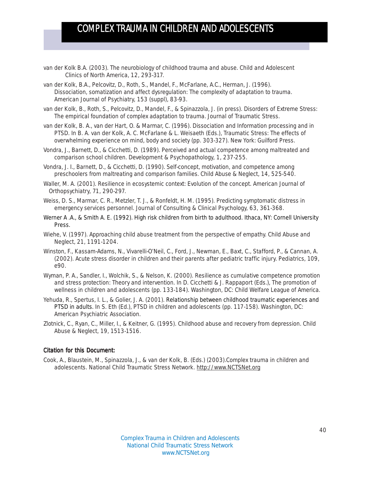- van der Kolk B.A. (2003). The neurobiology of childhood trauma and abuse. *Child and Adolescent Clinics of North America, 12,* 293-317.
- van der Kolk, B.A., Pelcovitz, D., Roth, S., Mandel, F., McFarlane, A.C., Herman, J. (1996). Dissociation, somatization and affect dysregulation: The complexity of adaptation to trauma. *American Journal of Psychiatry, 153 (suppl)*, 83-93.
- van der Kolk, B., Roth, S., Pelcovitz, D., Mandel, F., & Spinazzola, J. (in press). Disorders of Extreme Stress: The empirical foundation of complex adaptation to trauma. *Journal of Traumatic Stress.*
- van der Kolk, B. A., van der Hart, O. & Marmar, C. (1996). Dissociation and Information processing and in PTSD. In B. A. van der Kolk, A. C. McFarlane & L. Weisaeth (Eds.), *Traumatic Stress: The effects of overwhelming experience on mind, body and society* (pp. 303-327)*.* New York: Guilford Press.
- Vondra, J., Barnett, D., & Cicchetti, D. (1989). Perceived and actual competence among maltreated and comparison school children. *Development & Psychopathology, 1,* 237-255.
- Vondra, J. I., Barnett, D., & Cicchetti, D. (1990). Self-concept, motivation, and competence among preschoolers from maltreating and comparison families. *Child Abuse & Neglect, 14,* 525-540.
- Waller, M. A. (2001). Resilience in ecosystemic context: Evolution of the concept. *American Journal of Orthopsychiatry, 71,* 290-297.
- Weiss, D. S., Marmar, C. R., Metzler, T. J., & Ronfeldt, H. M. (1995). Predicting symptomatic distress in emergency services personnel. *Journal of Consulting & Clinical Psychology, 63,* 361-368.
- Werner A .A., & Smith A. E. (1992). *High risk children from birth to adulthood.* Ithaca, NY: Cornell University Press.
- Wiehe, V. (1997). Approaching child abuse treatment from the perspective of empathy. *Child Abuse and Neglect, 21*, 1191-1204.
- Winston, F., Kassam-Adams, N., Vivarelli-O'Neil, C., Ford, J., Newman, E., Baxt, C., Stafford, P., & Cannan, A. (2002). Acute stress disorder in children and their parents after pediatric traffic injury. *Pediatrics, 109*, e90.
- Wyman, P. A., Sandler, I., Wolchik, S., & Nelson, K. (2000). Resilience as cumulative competence promotion and stress protection: Theory and intervention. In D. Cicchetti & J. Rappaport (Eds.), *The promotion of wellness in children and adolescents* (pp. 133-184). Washington, DC: Child Welfare League of America.
- Yehuda, R., Spertus, I. L., & Golier, J. A. (2001). Relationship between childhood traumatic experiences and PTSD in adults. *In S.* Eth (Ed.), *PTSD in children and adolescents (*pp. 117-158). Washington, DC: American Psychiatric Association.
- Zlotnick, C., Ryan, C., Miller, I., & Keitner, G. (1995). Childhood abuse and recovery from depression. *Child Abuse & Neglect, 19,* 1513-1516.

#### Citation for this Document:

Cook, A., Blaustein, M., Spinazzola, J., & van der Kolk, B. (Eds.) (2003).*Complex trauma in children and adolescents.* National Child Traumatic Stress Network. http://www.NCTSNet.org